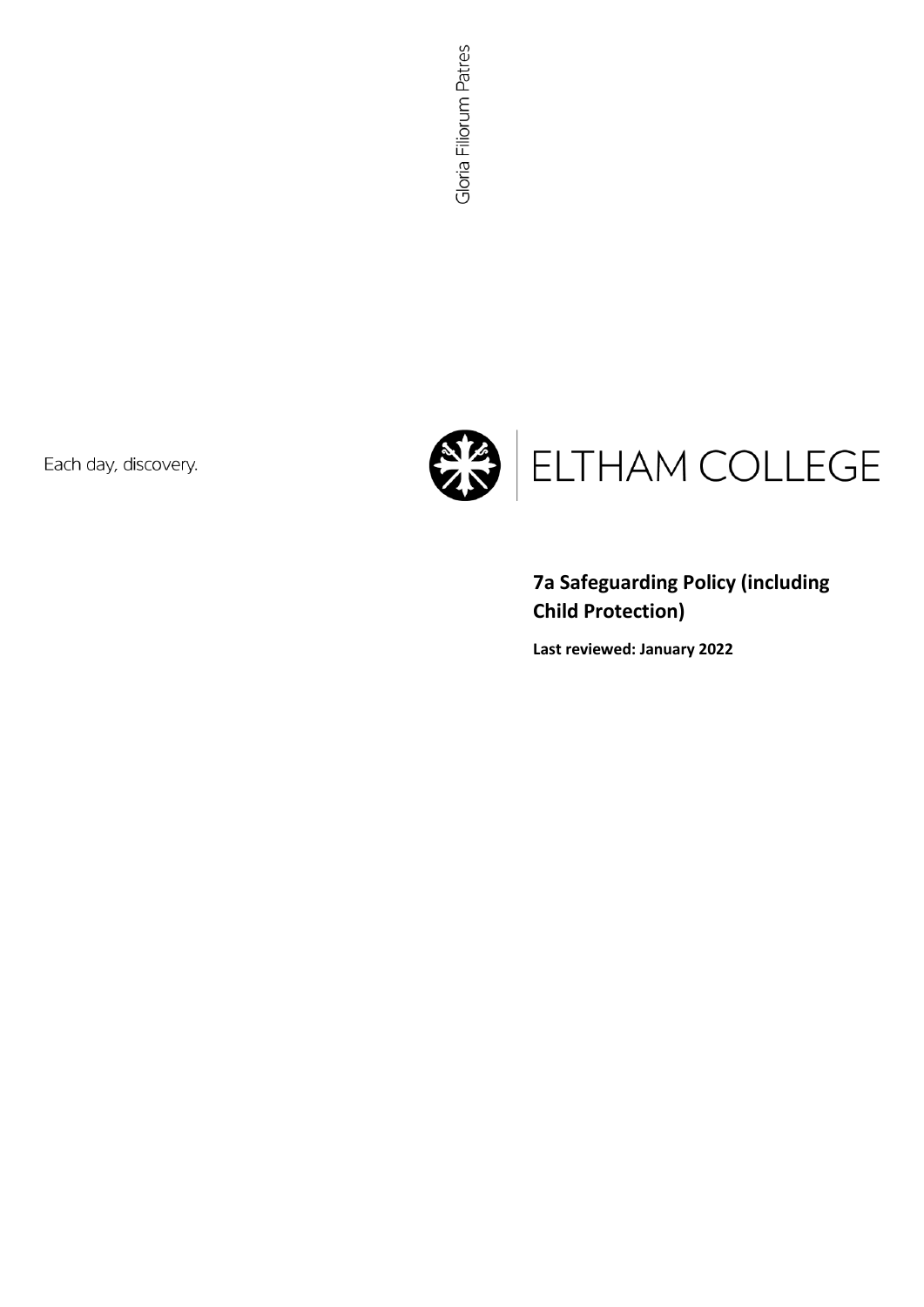Each day, discovery.



# **7a Safeguarding Policy (including Child Protection)**

**Last reviewed: January 2022**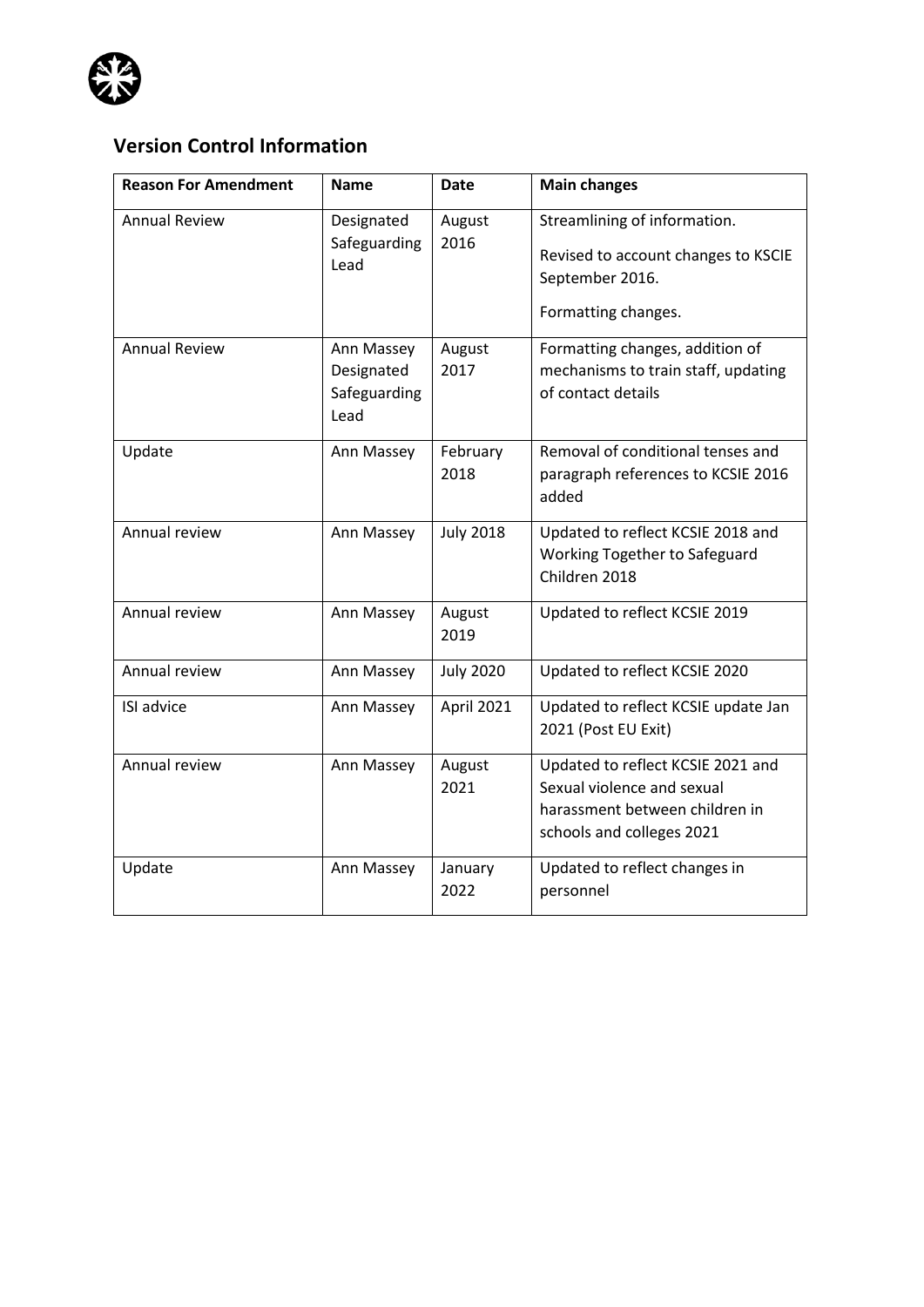

# **Version Control Information**

| <b>Reason For Amendment</b> | <b>Name</b>                                      | <b>Date</b>      | <b>Main changes</b>                                                                                                            |
|-----------------------------|--------------------------------------------------|------------------|--------------------------------------------------------------------------------------------------------------------------------|
| <b>Annual Review</b>        | Designated<br>Safeguarding<br>Lead               | August<br>2016   | Streamlining of information.<br>Revised to account changes to KSCIE<br>September 2016.<br>Formatting changes.                  |
| <b>Annual Review</b>        | Ann Massey<br>Designated<br>Safeguarding<br>Lead | August<br>2017   | Formatting changes, addition of<br>mechanisms to train staff, updating<br>of contact details                                   |
| Update                      | Ann Massey                                       | February<br>2018 | Removal of conditional tenses and<br>paragraph references to KCSIE 2016<br>added                                               |
| Annual review               | Ann Massey                                       | <b>July 2018</b> | Updated to reflect KCSIE 2018 and<br>Working Together to Safeguard<br>Children 2018                                            |
| Annual review               | Ann Massey                                       | August<br>2019   | Updated to reflect KCSIE 2019                                                                                                  |
| Annual review               | Ann Massey                                       | <b>July 2020</b> | Updated to reflect KCSIE 2020                                                                                                  |
| ISI advice                  | Ann Massey                                       | April 2021       | Updated to reflect KCSIE update Jan<br>2021 (Post EU Exit)                                                                     |
| Annual review               | Ann Massey                                       | August<br>2021   | Updated to reflect KCSIE 2021 and<br>Sexual violence and sexual<br>harassment between children in<br>schools and colleges 2021 |
| Update                      | Ann Massey                                       | January<br>2022  | Updated to reflect changes in<br>personnel                                                                                     |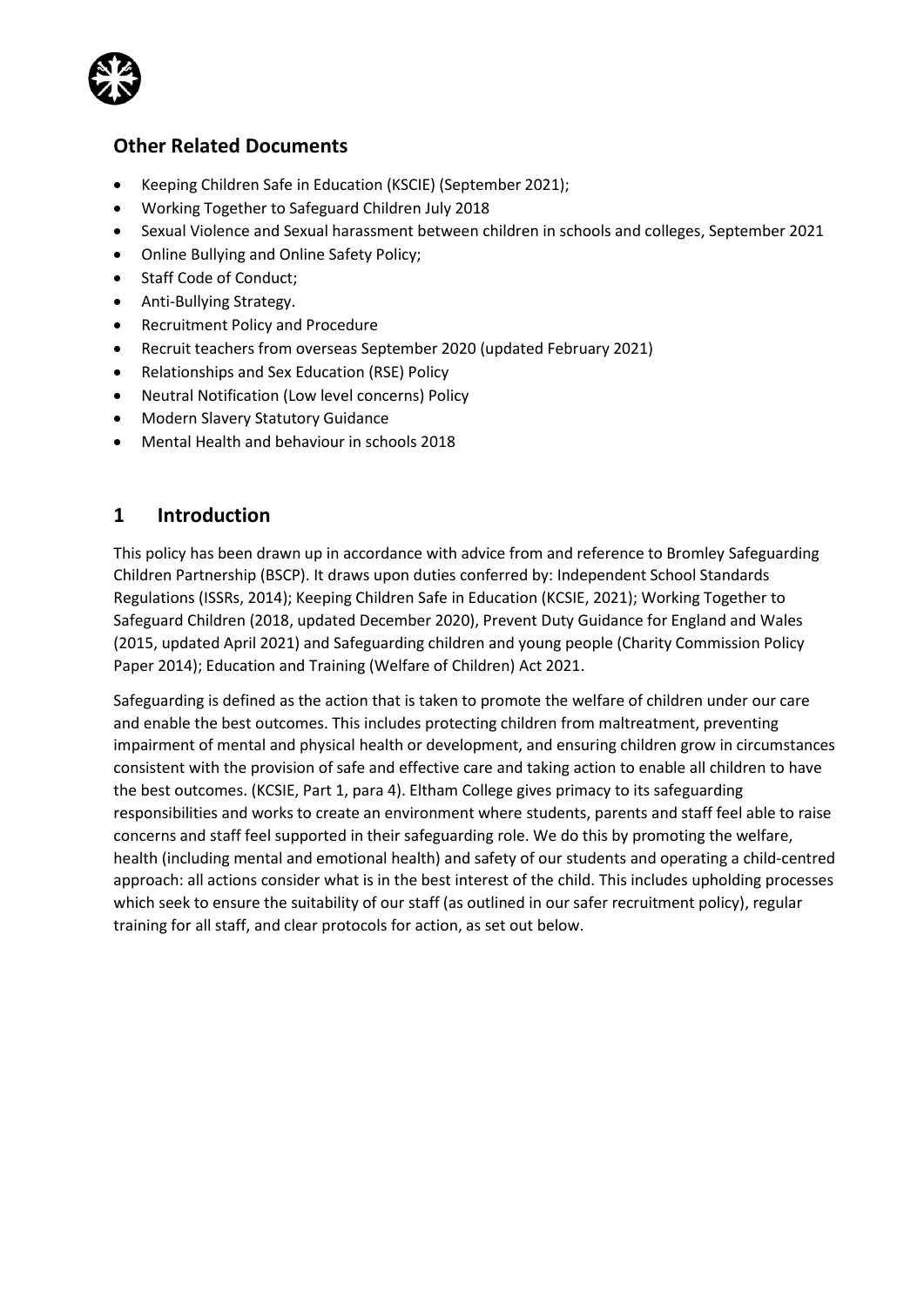

## **Other Related Documents**

- Keeping Children Safe in Education (KSCIE) (September 2021);
- Working Together to Safeguard Children July 2018
- Sexual Violence and Sexual harassment between children in schools and colleges, September 2021
- Online Bullying and Online Safety Policy;
- Staff Code of Conduct;
- Anti-Bullying Strategy.
- Recruitment Policy and Procedure
- Recruit teachers from overseas September 2020 (updated February 2021)
- Relationships and Sex Education (RSE) Policy
- Neutral Notification (Low level concerns) Policy
- Modern Slavery Statutory Guidance
- Mental Health and behaviour in schools 2018

## **1 Introduction**

This policy has been drawn up in accordance with advice from and reference to Bromley Safeguarding Children Partnership (BSCP). It draws upon duties conferred by: Independent School Standards Regulations (ISSRs, 2014); Keeping Children Safe in Education (KCSIE, 2021); Working Together to Safeguard Children (2018, updated December 2020), Prevent Duty Guidance for England and Wales (2015, updated April 2021) and Safeguarding children and young people (Charity Commission Policy Paper 2014); Education and Training (Welfare of Children) Act 2021.

Safeguarding is defined as the action that is taken to promote the welfare of children under our care and enable the best outcomes. This includes protecting children from maltreatment, preventing impairment of mental and physical health or development, and ensuring children grow in circumstances consistent with the provision of safe and effective care and taking action to enable all children to have the best outcomes. (KCSIE, Part 1, para 4). Eltham College gives primacy to its safeguarding responsibilities and works to create an environment where students, parents and staff feel able to raise concerns and staff feel supported in their safeguarding role. We do this by promoting the welfare, health (including mental and emotional health) and safety of our students and operating a child-centred approach: all actions consider what is in the best interest of the child. This includes upholding processes which seek to ensure the suitability of our staff (as outlined in our safer recruitment policy), regular training for all staff, and clear protocols for action, as set out below.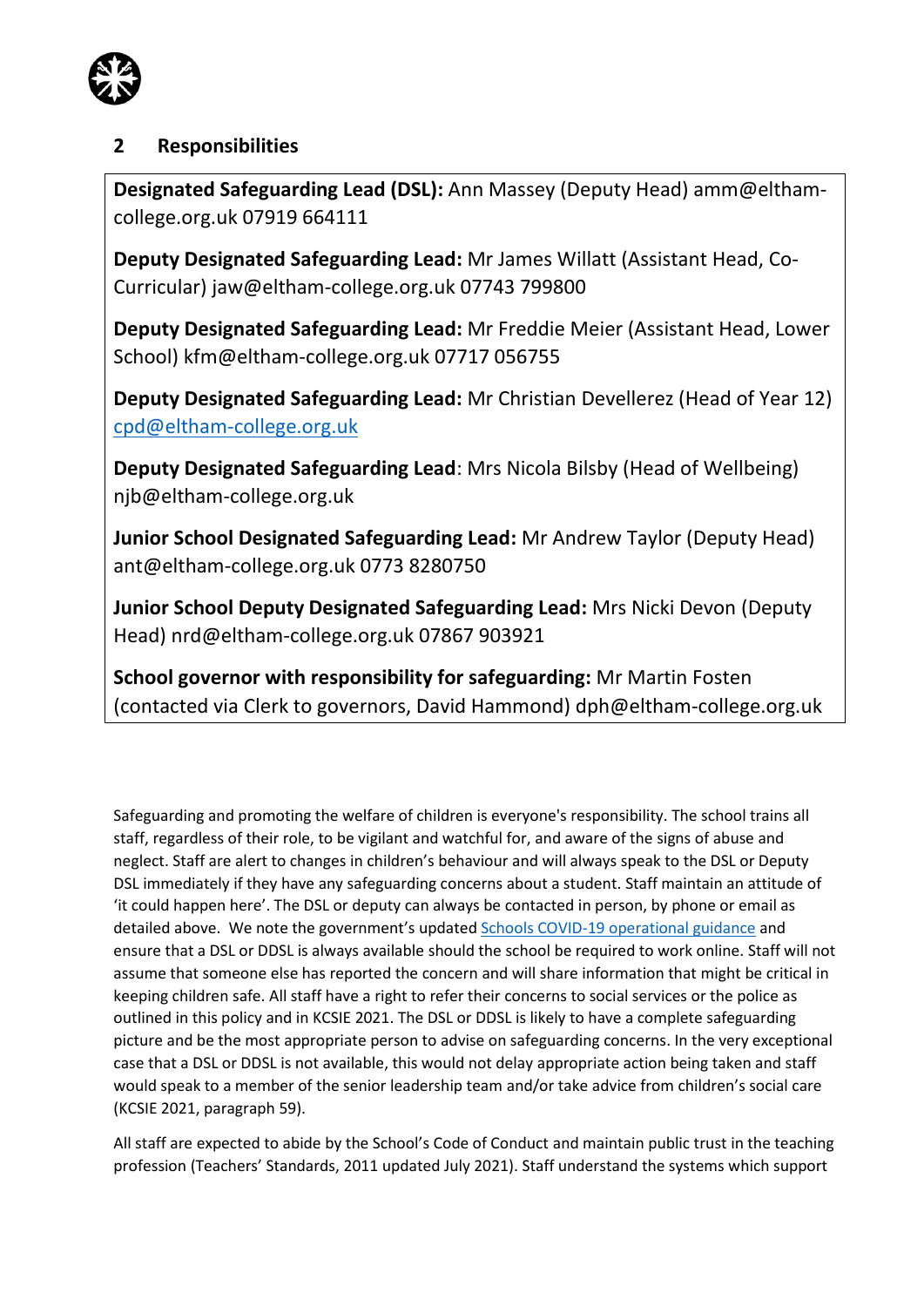

# **2 Responsibilities**

**Designated Safeguarding Lead (DSL):** Ann Massey (Deputy Head) amm@elthamcollege.org.uk 07919 664111

**Deputy Designated Safeguarding Lead:** Mr James Willatt (Assistant Head, Co-Curricular) jaw@eltham-college.org.uk 07743 799800

**Deputy Designated Safeguarding Lead:** Mr Freddie Meier (Assistant Head, Lower School) kfm@eltham-college.org.uk 07717 056755

**Deputy Designated Safeguarding Lead:** Mr Christian Devellerez (Head of Year 12) [cpd@eltham-college.org.uk](mailto:cpd@eltham-college.org.uk)

**Deputy Designated Safeguarding Lead**: Mrs Nicola Bilsby (Head of Wellbeing) njb@eltham-college.org.uk

**Junior School Designated Safeguarding Lead:** Mr Andrew Taylor (Deputy Head) ant@eltham-college.org.uk 0773 8280750

**Junior School Deputy Designated Safeguarding Lead:** Mrs Nicki Devon (Deputy Head) nrd@eltham-college.org.uk 07867 903921

**School governor with responsibility for safeguarding:** Mr Martin Fosten (contacted via Clerk to governors, David Hammond) dph@eltham-college.org.uk

Safeguarding and promoting the welfare of children is everyone's responsibility. The school trains all staff, regardless of their role, to be vigilant and watchful for, and aware of the signs of abuse and neglect. Staff are alert to changes in children's behaviour and will always speak to the DSL or Deputy DSL immediately if they have any safeguarding concerns about a student. Staff maintain an attitude of 'it could happen here'. The DSL or deputy can always be contacted in person, by phone or email as detailed above. We note the government's updated [Schools COVID-19 operational guidance](https://assets.publishing.service.gov.uk/government/uploads/system/uploads/attachment_data/file/1044890/Schools_guidance_January_2022_.pdf) and ensure that a DSL or DDSL is always available should the school be required to work online. Staff will not assume that someone else has reported the concern and will share information that might be critical in keeping children safe. All staff have a right to refer their concerns to social services or the police as outlined in this policy and in KCSIE 2021. The DSL or DDSL is likely to have a complete safeguarding picture and be the most appropriate person to advise on safeguarding concerns. In the very exceptional case that a DSL or DDSL is not available, this would not delay appropriate action being taken and staff would speak to a member of the senior leadership team and/or take advice from children's social care (KCSIE 2021, paragraph 59).

All staff are expected to abide by the School's Code of Conduct and maintain public trust in the teaching profession (Teachers' Standards, 2011 updated July 2021). Staff understand the systems which support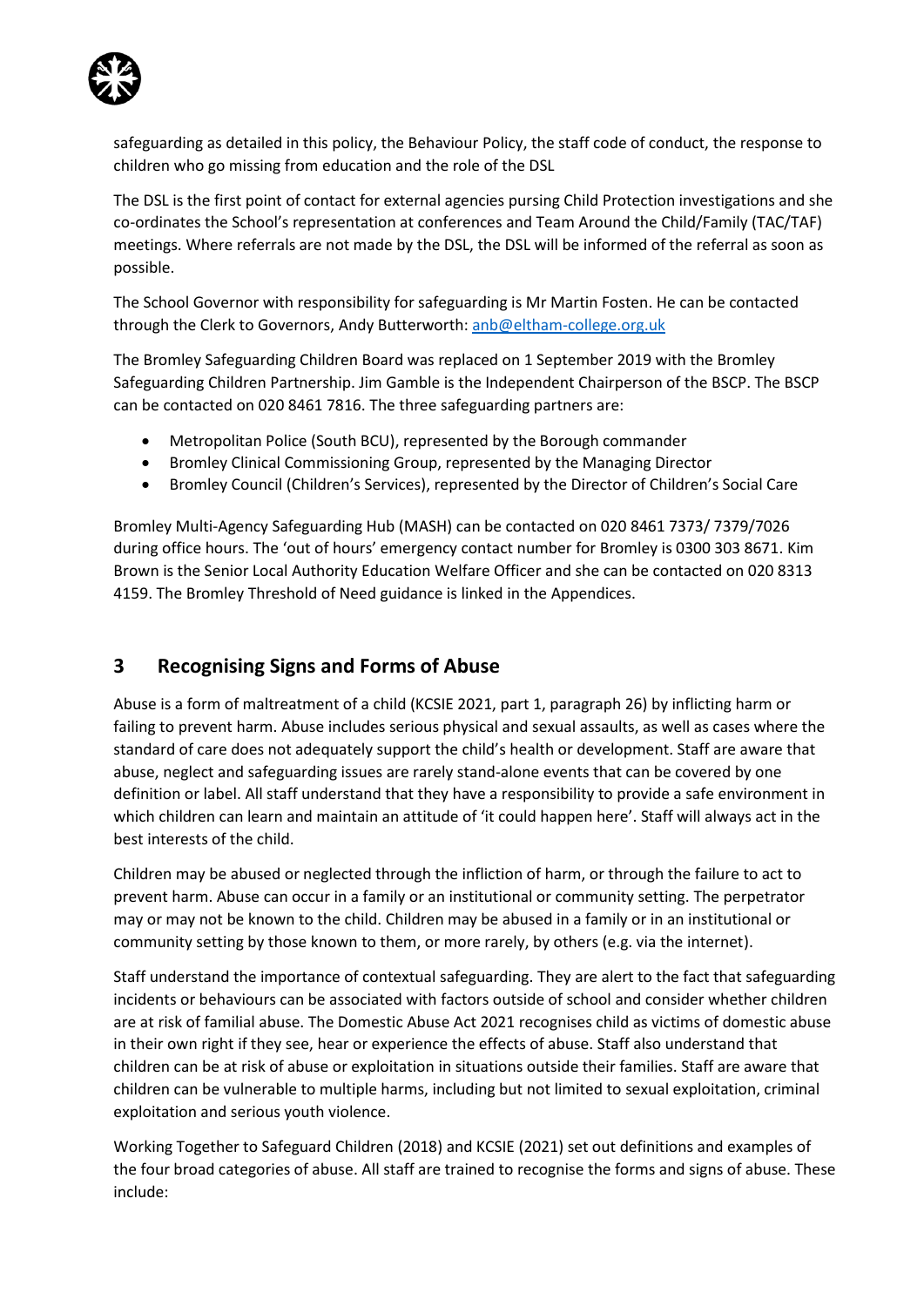

safeguarding as detailed in this policy, the Behaviour Policy, the staff code of conduct, the response to children who go missing from education and the role of the DSL

The DSL is the first point of contact for external agencies pursing Child Protection investigations and she co-ordinates the School's representation at conferences and Team Around the Child/Family (TAC/TAF) meetings. Where referrals are not made by the DSL, the DSL will be informed of the referral as soon as possible.

The School Governor with responsibility for safeguarding is Mr Martin Fosten. He can be contacted through the Clerk to Governors, Andy Butterworth: [anb@eltham-college.org.uk](mailto:anb@eltham-college.org.uk)

The Bromley Safeguarding Children Board was replaced on 1 September 2019 with the Bromley Safeguarding Children Partnership. Jim Gamble is the Independent Chairperson of the BSCP. The BSCP can be contacted on 020 8461 7816. The three safeguarding partners are:

- Metropolitan Police (South BCU), represented by the Borough commander
- Bromley Clinical Commissioning Group, represented by the Managing Director
- Bromley Council (Children's Services), represented by the Director of Children's Social Care

Bromley Multi-Agency Safeguarding Hub (MASH) can be contacted on 020 8461 7373/ 7379/7026 during office hours. The 'out of hours' emergency contact number for Bromley is 0300 303 8671. Kim Brown is the Senior Local Authority Education Welfare Officer and she can be contacted on 020 8313 4159. The Bromley Threshold of Need guidance is linked in the Appendices.

# **3 Recognising Signs and Forms of Abuse**

Abuse is a form of maltreatment of a child (KCSIE 2021, part 1, paragraph 26) by inflicting harm or failing to prevent harm. Abuse includes serious physical and sexual assaults, as well as cases where the standard of care does not adequately support the child's health or development. Staff are aware that abuse, neglect and safeguarding issues are rarely stand-alone events that can be covered by one definition or label. All staff understand that they have a responsibility to provide a safe environment in which children can learn and maintain an attitude of 'it could happen here'. Staff will always act in the best interests of the child.

Children may be abused or neglected through the infliction of harm, or through the failure to act to prevent harm. Abuse can occur in a family or an institutional or community setting. The perpetrator may or may not be known to the child. Children may be abused in a family or in an institutional or community setting by those known to them, or more rarely, by others (e.g. via the internet).

Staff understand the importance of contextual safeguarding. They are alert to the fact that safeguarding incidents or behaviours can be associated with factors outside of school and consider whether children are at risk of familial abuse. The Domestic Abuse Act 2021 recognises child as victims of domestic abuse in their own right if they see, hear or experience the effects of abuse. Staff also understand that children can be at risk of abuse or exploitation in situations outside their families. Staff are aware that children can be vulnerable to multiple harms, including but not limited to sexual exploitation, criminal exploitation and serious youth violence.

Working Together to Safeguard Children (2018) and KCSIE (2021) set out definitions and examples of the four broad categories of abuse. All staff are trained to recognise the forms and signs of abuse. These include: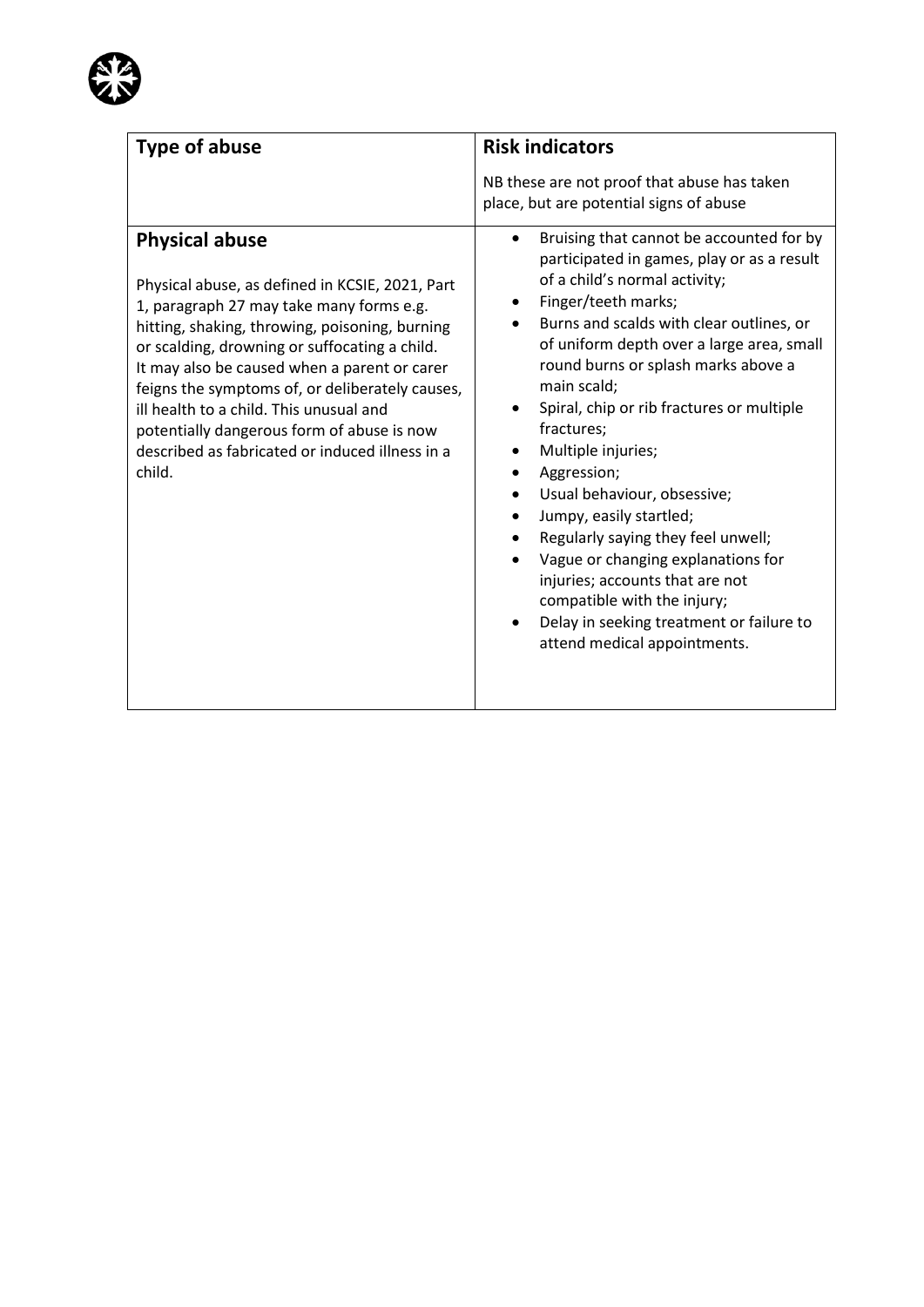

| Type of abuse                                                                                                                                                                                                                                                                                                                                                                                                                                                                    | <b>Risk indicators</b>                                                                                                                                                                                                                                                                                                                                                                                                                                                                                                                                                                                                                                                                                       |
|----------------------------------------------------------------------------------------------------------------------------------------------------------------------------------------------------------------------------------------------------------------------------------------------------------------------------------------------------------------------------------------------------------------------------------------------------------------------------------|--------------------------------------------------------------------------------------------------------------------------------------------------------------------------------------------------------------------------------------------------------------------------------------------------------------------------------------------------------------------------------------------------------------------------------------------------------------------------------------------------------------------------------------------------------------------------------------------------------------------------------------------------------------------------------------------------------------|
| <b>Physical abuse</b><br>Physical abuse, as defined in KCSIE, 2021, Part<br>1, paragraph 27 may take many forms e.g.<br>hitting, shaking, throwing, poisoning, burning<br>or scalding, drowning or suffocating a child.<br>It may also be caused when a parent or carer<br>feigns the symptoms of, or deliberately causes,<br>ill health to a child. This unusual and<br>potentially dangerous form of abuse is now<br>described as fabricated or induced illness in a<br>child. | NB these are not proof that abuse has taken<br>place, but are potential signs of abuse<br>Bruising that cannot be accounted for by<br>$\bullet$<br>participated in games, play or as a result<br>of a child's normal activity;<br>Finger/teeth marks;<br>Burns and scalds with clear outlines, or<br>of uniform depth over a large area, small<br>round burns or splash marks above a<br>main scald;<br>Spiral, chip or rib fractures or multiple<br>fractures;<br>Multiple injuries;<br>Aggression;<br>Usual behaviour, obsessive;<br>Jumpy, easily startled;<br>Regularly saying they feel unwell;<br>Vague or changing explanations for<br>injuries; accounts that are not<br>compatible with the injury; |
|                                                                                                                                                                                                                                                                                                                                                                                                                                                                                  | Delay in seeking treatment or failure to<br>attend medical appointments.                                                                                                                                                                                                                                                                                                                                                                                                                                                                                                                                                                                                                                     |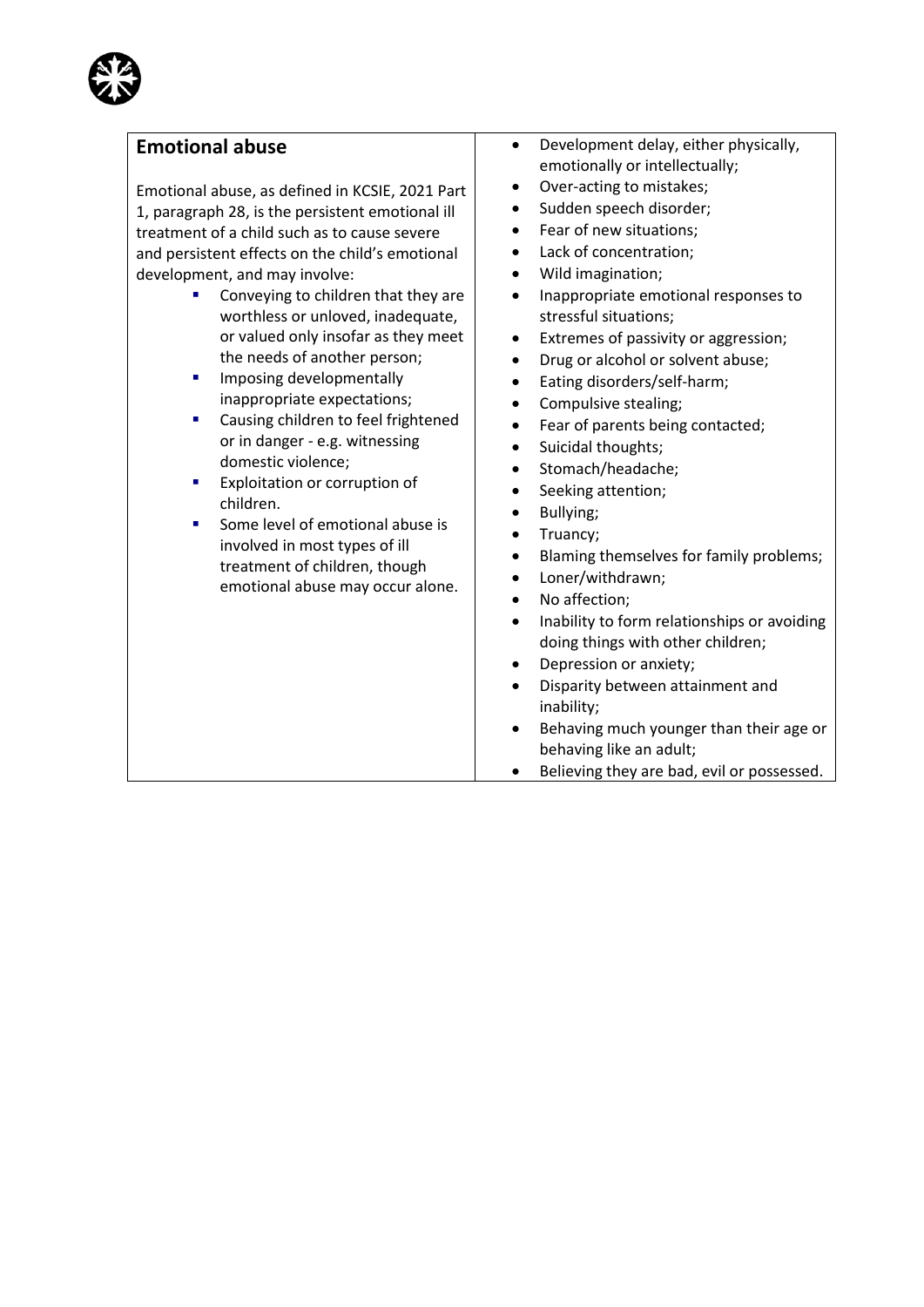## **Emotional abuse**

Emotional abuse, as defined in KCSIE, 2021 Part 1, paragraph 28, is the persistent emotional ill treatment of a child such as to cause severe and persistent effects on the child's emotional development, and may involve:

- Conveying to children that they are worthless or unloved, inadequate, or valued only insofar as they meet the needs of another person;
- **■** Imposing developmentally inappropriate expectations;
- Causing children to feel frightened or in danger - e.g. witnessing domestic violence;
- Exploitation or corruption of children.
- Some level of emotional abuse is involved in most types of ill treatment of children, though emotional abuse may occur alone.
- Development delay, either physically, emotionally or intellectually;
- Over-acting to mistakes;
- Sudden speech disorder;
- Fear of new situations;
- Lack of concentration;
- Wild imagination;
- Inappropriate emotional responses to stressful situations;
- Extremes of passivity or aggression;
- Drug or alcohol or solvent abuse;
- Eating disorders/self-harm;
- Compulsive stealing;
- Fear of parents being contacted;
- Suicidal thoughts;
- Stomach/headache;
- Seeking attention;
- Bullying;
- Truancy;
- Blaming themselves for family problems;
- Loner/withdrawn;
- No affection;
- Inability to form relationships or avoiding doing things with other children;
- Depression or anxiety;
- Disparity between attainment and inability;
- Behaving much younger than their age or behaving like an adult;
- Believing they are bad, evil or possessed.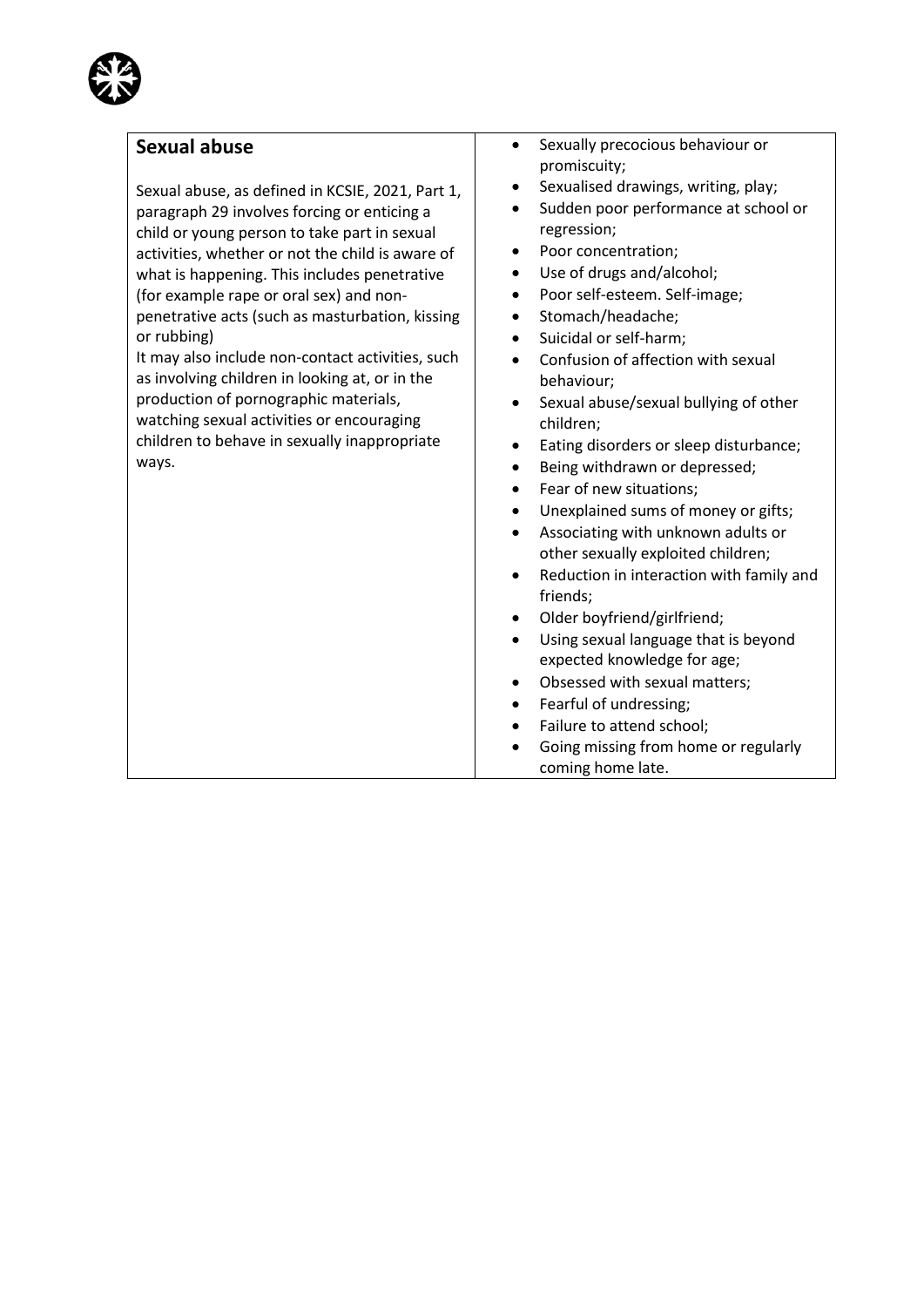

#### **Sexual abuse**

Sexual abuse, as defined in KCSIE, 2021, Part 1, paragraph 29 involves forcing or enticing a child or young person to take part in sexual activities, whether or not the child is aware of what is happening. This includes penetrative (for example rape or oral sex) and nonpenetrative acts (such as masturbation, kissing or rubbing)

It may also include non-contact activities, such as involving children in looking at, or in the production of pornographic materials, watching sexual activities or encouraging children to behave in sexually inappropriate ways.

- Sexually precocious behaviour or promiscuity;
- Sexualised drawings, writing, play;
- Sudden poor performance at school or regression;
- Poor concentration;
- Use of drugs and/alcohol;
- Poor self-esteem. Self-image;
- Stomach/headache;
- Suicidal or self-harm;
- Confusion of affection with sexual behaviour;
- Sexual abuse/sexual bullying of other children;
- Eating disorders or sleep disturbance;
- Being withdrawn or depressed;
- Fear of new situations;
- Unexplained sums of money or gifts;
- Associating with unknown adults or other sexually exploited children;
- Reduction in interaction with family and friends;
- Older boyfriend/girlfriend;
- Using sexual language that is beyond expected knowledge for age;
- Obsessed with sexual matters;
- Fearful of undressing;
- Failure to attend school;
- Going missing from home or regularly coming home late.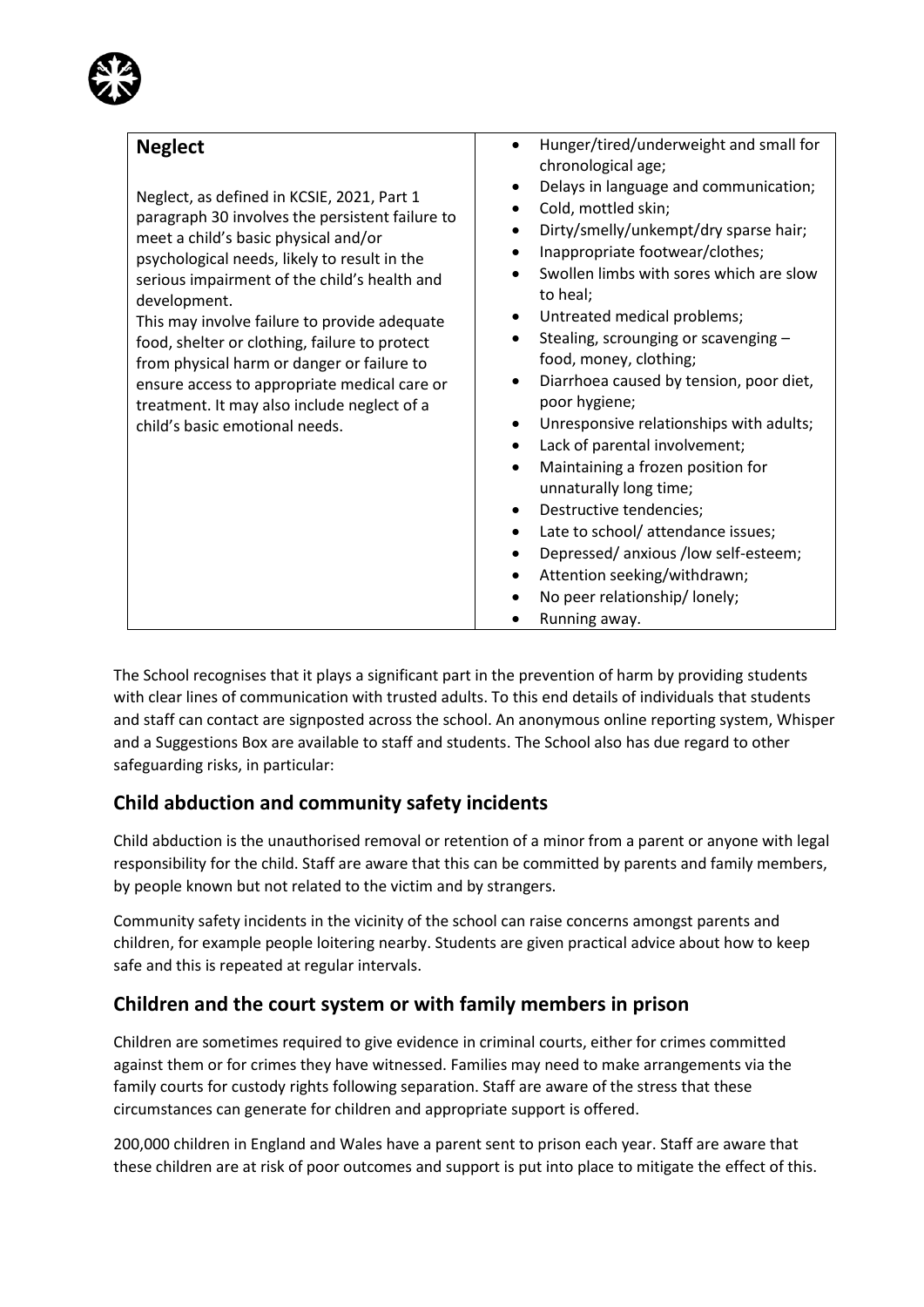| <b>Neglect</b><br>Neglect, as defined in KCSIE, 2021, Part 1<br>paragraph 30 involves the persistent failure to<br>meet a child's basic physical and/or<br>psychological needs, likely to result in the<br>serious impairment of the child's health and<br>development.<br>This may involve failure to provide adequate<br>food, shelter or clothing, failure to protect<br>from physical harm or danger or failure to<br>ensure access to appropriate medical care or<br>treatment. It may also include neglect of a<br>child's basic emotional needs. | Hunger/tired/underweight and small for<br>chronological age;<br>Delays in language and communication;<br>$\bullet$<br>Cold, mottled skin;<br>Dirty/smelly/unkempt/dry sparse hair;<br>٠<br>Inappropriate footwear/clothes;<br>Swollen limbs with sores which are slow<br>to heal;<br>Untreated medical problems;<br>Stealing, scrounging or scavenging -<br>$\bullet$<br>food, money, clothing;<br>Diarrhoea caused by tension, poor diet,<br>$\bullet$<br>poor hygiene;<br>Unresponsive relationships with adults;<br>$\bullet$<br>Lack of parental involvement;<br>$\bullet$<br>Maintaining a frozen position for<br>$\bullet$<br>unnaturally long time;<br>Destructive tendencies;<br>$\bullet$<br>Late to school/ attendance issues;<br>$\bullet$<br>Depressed/anxious/low self-esteem;<br>Attention seeking/withdrawn;<br>No peer relationship/lonely;<br>Running away. |
|---------------------------------------------------------------------------------------------------------------------------------------------------------------------------------------------------------------------------------------------------------------------------------------------------------------------------------------------------------------------------------------------------------------------------------------------------------------------------------------------------------------------------------------------------------|------------------------------------------------------------------------------------------------------------------------------------------------------------------------------------------------------------------------------------------------------------------------------------------------------------------------------------------------------------------------------------------------------------------------------------------------------------------------------------------------------------------------------------------------------------------------------------------------------------------------------------------------------------------------------------------------------------------------------------------------------------------------------------------------------------------------------------------------------------------------------|

The School recognises that it plays a significant part in the prevention of harm by providing students with clear lines of communication with trusted adults. To this end details of individuals that students and staff can contact are signposted across the school. An anonymous online reporting system, Whisper and a Suggestions Box are available to staff and students. The School also has due regard to other safeguarding risks, in particular:

# **Child abduction and community safety incidents**

Child abduction is the unauthorised removal or retention of a minor from a parent or anyone with legal responsibility for the child. Staff are aware that this can be committed by parents and family members, by people known but not related to the victim and by strangers.

Community safety incidents in the vicinity of the school can raise concerns amongst parents and children, for example people loitering nearby. Students are given practical advice about how to keep safe and this is repeated at regular intervals.

# **Children and the court system or with family members in prison**

Children are sometimes required to give evidence in criminal courts, either for crimes committed against them or for crimes they have witnessed. Families may need to make arrangements via the family courts for custody rights following separation. Staff are aware of the stress that these circumstances can generate for children and appropriate support is offered.

200,000 children in England and Wales have a parent sent to prison each year. Staff are aware that these children are at risk of poor outcomes and support is put into place to mitigate the effect of this.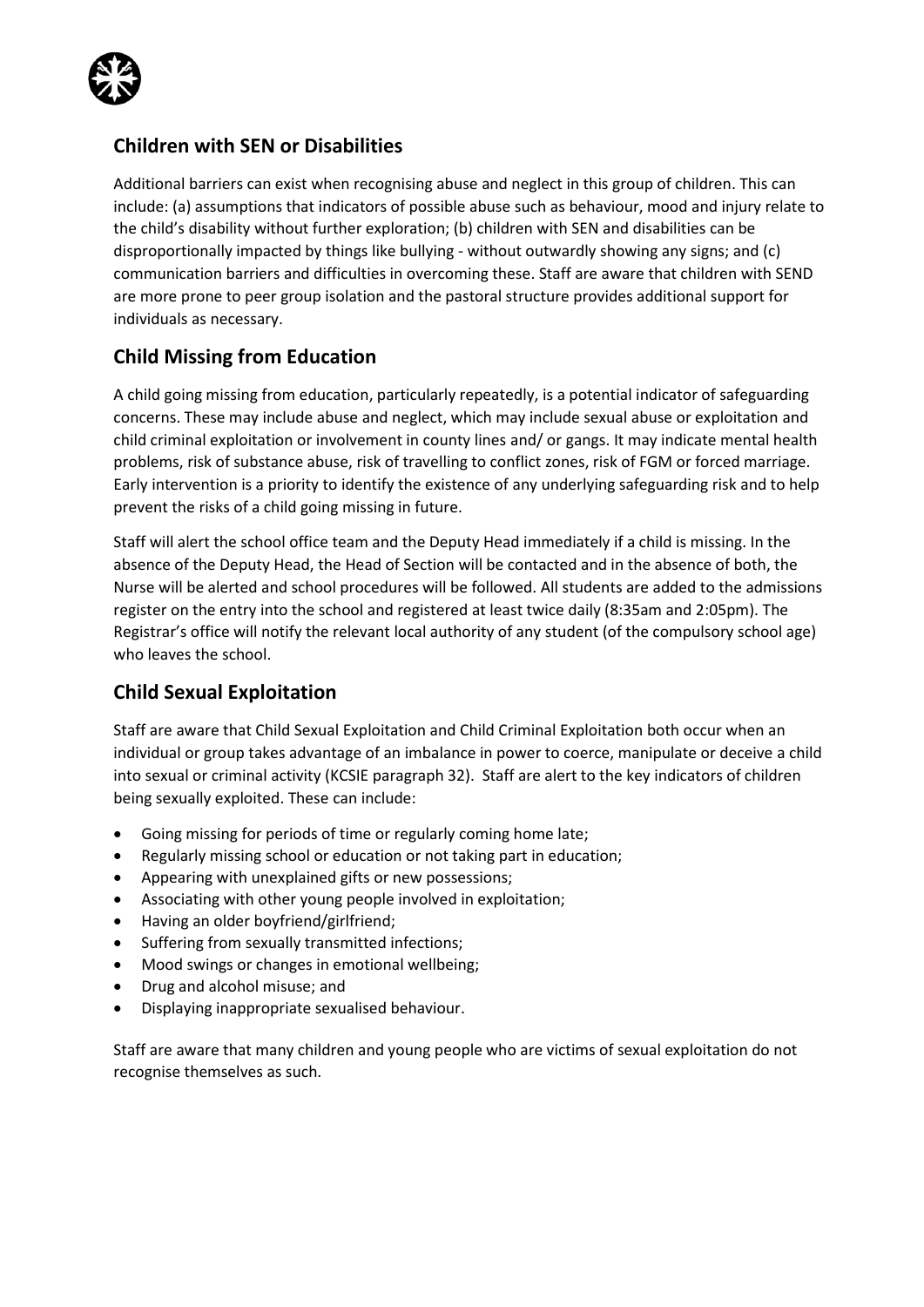

## **Children with SEN or Disabilities**

Additional barriers can exist when recognising abuse and neglect in this group of children. This can include: (a) assumptions that indicators of possible abuse such as behaviour, mood and injury relate to the child's disability without further exploration; (b) children with SEN and disabilities can be disproportionally impacted by things like bullying - without outwardly showing any signs; and (c) communication barriers and difficulties in overcoming these. Staff are aware that children with SEND are more prone to peer group isolation and the pastoral structure provides additional support for individuals as necessary.

# **Child Missing from Education**

A child going missing from education, particularly repeatedly, is a potential indicator of safeguarding concerns. These may include abuse and neglect, which may include sexual abuse or exploitation and child criminal exploitation or involvement in county lines and/ or gangs. It may indicate mental health problems, risk of substance abuse, risk of travelling to conflict zones, risk of FGM or forced marriage. Early intervention is a priority to identify the existence of any underlying safeguarding risk and to help prevent the risks of a child going missing in future.

Staff will alert the school office team and the Deputy Head immediately if a child is missing. In the absence of the Deputy Head, the Head of Section will be contacted and in the absence of both, the Nurse will be alerted and school procedures will be followed. All students are added to the admissions register on the entry into the school and registered at least twice daily (8:35am and 2:05pm). The Registrar's office will notify the relevant local authority of any student (of the compulsory school age) who leaves the school.

# **Child Sexual Exploitation**

Staff are aware that Child Sexual Exploitation and Child Criminal Exploitation both occur when an individual or group takes advantage of an imbalance in power to coerce, manipulate or deceive a child into sexual or criminal activity (KCSIE paragraph 32). Staff are alert to the key indicators of children being sexually exploited. These can include:

- Going missing for periods of time or regularly coming home late;
- Regularly missing school or education or not taking part in education;
- Appearing with unexplained gifts or new possessions;
- Associating with other young people involved in exploitation;
- Having an older boyfriend/girlfriend;
- Suffering from sexually transmitted infections;
- Mood swings or changes in emotional wellbeing;
- Drug and alcohol misuse; and
- Displaying inappropriate sexualised behaviour.

Staff are aware that many children and young people who are victims of sexual exploitation do not recognise themselves as such.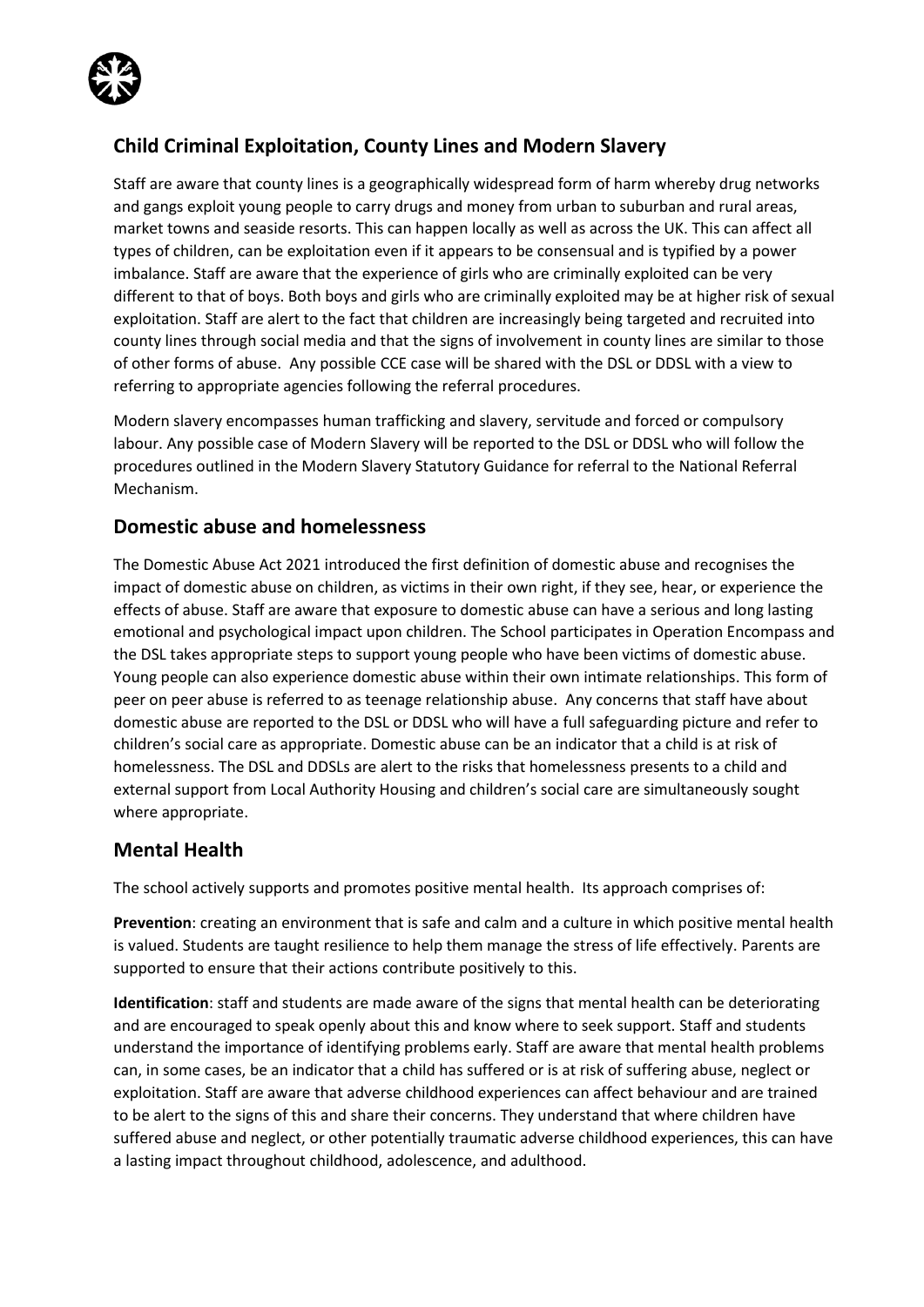

# **Child Criminal Exploitation, County Lines and Modern Slavery**

Staff are aware that county lines is a geographically widespread form of harm whereby drug networks and gangs exploit young people to carry drugs and money from urban to suburban and rural areas, market towns and seaside resorts. This can happen locally as well as across the UK. This can affect all types of children, can be exploitation even if it appears to be consensual and is typified by a power imbalance. Staff are aware that the experience of girls who are criminally exploited can be very different to that of boys. Both boys and girls who are criminally exploited may be at higher risk of sexual exploitation. Staff are alert to the fact that children are increasingly being targeted and recruited into county lines through social media and that the signs of involvement in county lines are similar to those of other forms of abuse. Any possible CCE case will be shared with the DSL or DDSL with a view to referring to appropriate agencies following the referral procedures.

Modern slavery encompasses human trafficking and slavery, servitude and forced or compulsory labour. Any possible case of Modern Slavery will be reported to the DSL or DDSL who will follow the procedures outlined in the Modern Slavery Statutory Guidance for referral to the National Referral Mechanism.

## **Domestic abuse and homelessness**

The Domestic Abuse Act 2021 introduced the first definition of domestic abuse and recognises the impact of domestic abuse on children, as victims in their own right, if they see, hear, or experience the effects of abuse. Staff are aware that exposure to domestic abuse can have a serious and long lasting emotional and psychological impact upon children. The School participates in Operation Encompass and the DSL takes appropriate steps to support young people who have been victims of domestic abuse. Young people can also experience domestic abuse within their own intimate relationships. This form of peer on peer abuse is referred to as teenage relationship abuse. Any concerns that staff have about domestic abuse are reported to the DSL or DDSL who will have a full safeguarding picture and refer to children's social care as appropriate. Domestic abuse can be an indicator that a child is at risk of homelessness. The DSL and DDSLs are alert to the risks that homelessness presents to a child and external support from Local Authority Housing and children's social care are simultaneously sought where appropriate.

## **Mental Health**

The school actively supports and promotes positive mental health. Its approach comprises of:

**Prevention**: creating an environment that is safe and calm and a culture in which positive mental health is valued. Students are taught resilience to help them manage the stress of life effectively. Parents are supported to ensure that their actions contribute positively to this.

**Identification**: staff and students are made aware of the signs that mental health can be deteriorating and are encouraged to speak openly about this and know where to seek support. Staff and students understand the importance of identifying problems early. Staff are aware that mental health problems can, in some cases, be an indicator that a child has suffered or is at risk of suffering abuse, neglect or exploitation. Staff are aware that adverse childhood experiences can affect behaviour and are trained to be alert to the signs of this and share their concerns. They understand that where children have suffered abuse and neglect, or other potentially traumatic adverse childhood experiences, this can have a lasting impact throughout childhood, adolescence, and adulthood.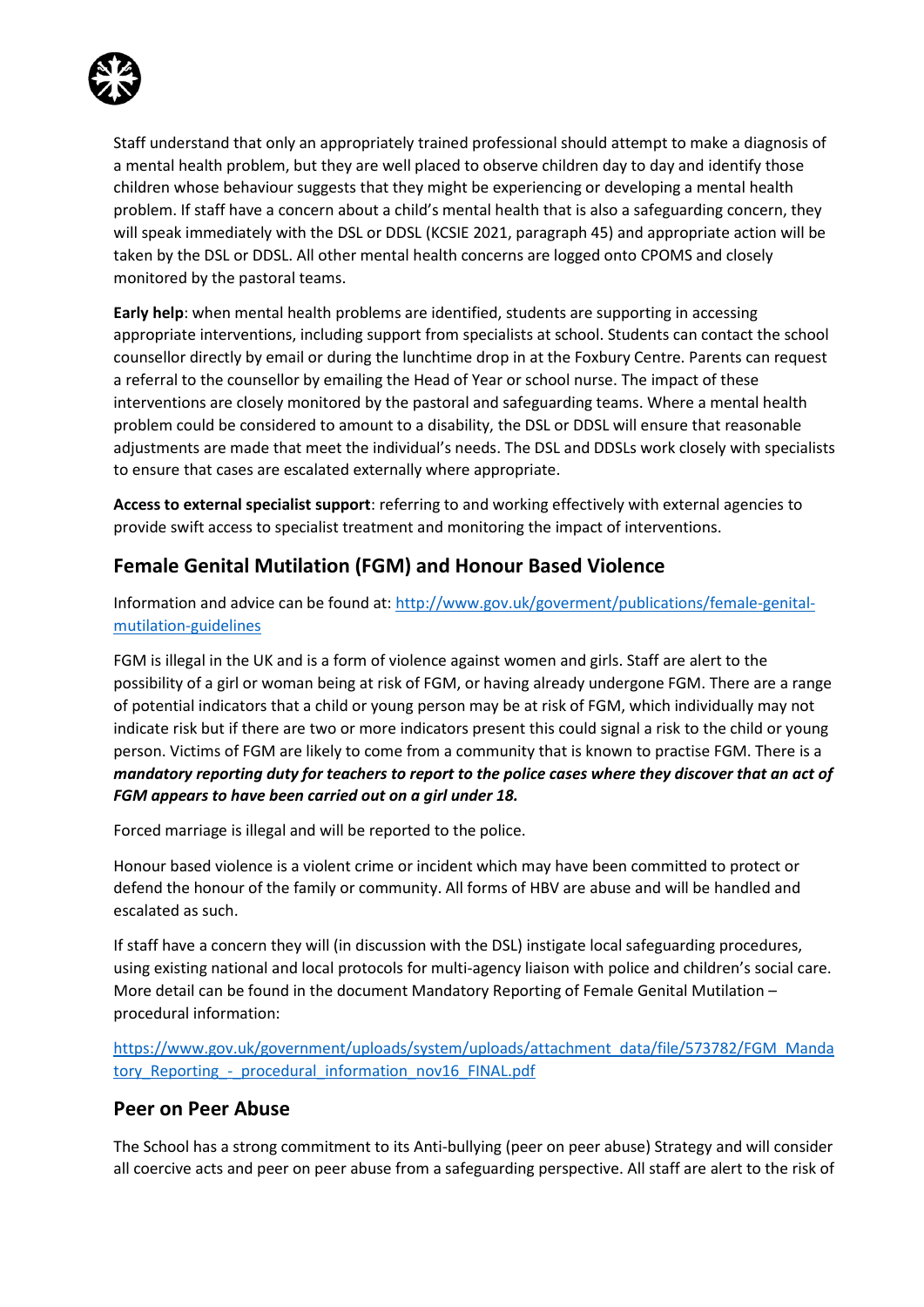

Staff understand that only an appropriately trained professional should attempt to make a diagnosis of a mental health problem, but they are well placed to observe children day to day and identify those children whose behaviour suggests that they might be experiencing or developing a mental health problem. If staff have a concern about a child's mental health that is also a safeguarding concern, they will speak immediately with the DSL or DDSL (KCSIE 2021, paragraph 45) and appropriate action will be taken by the DSL or DDSL. All other mental health concerns are logged onto CPOMS and closely monitored by the pastoral teams.

**Early help**: when mental health problems are identified, students are supporting in accessing appropriate interventions, including support from specialists at school. Students can contact the school counsellor directly by email or during the lunchtime drop in at the Foxbury Centre. Parents can request a referral to the counsellor by emailing the Head of Year or school nurse. The impact of these interventions are closely monitored by the pastoral and safeguarding teams. Where a mental health problem could be considered to amount to a disability, the DSL or DDSL will ensure that reasonable adjustments are made that meet the individual's needs. The DSL and DDSLs work closely with specialists to ensure that cases are escalated externally where appropriate.

**Access to external specialist support**: referring to and working effectively with external agencies to provide swift access to specialist treatment and monitoring the impact of interventions.

# **Female Genital Mutilation (FGM) and Honour Based Violence**

Information and advice can be found at: [http://www.gov.uk/goverment/publications/female-genital](http://www.gov.uk/goverment/publications/female-genital-mutilation-guidelines)[mutilation-guidelines](http://www.gov.uk/goverment/publications/female-genital-mutilation-guidelines)

FGM is illegal in the UK and is a form of violence against women and girls. Staff are alert to the possibility of a girl or woman being at risk of FGM, or having already undergone FGM. There are a range of potential indicators that a child or young person may be at risk of FGM, which individually may not indicate risk but if there are two or more indicators present this could signal a risk to the child or young person. Victims of FGM are likely to come from a community that is known to practise FGM. There is a *mandatory reporting duty for teachers to report to the police cases where they discover that an act of FGM appears to have been carried out on a girl under 18.* 

Forced marriage is illegal and will be reported to the police.

Honour based violence is a violent crime or incident which may have been committed to protect or defend the honour of the family or community. All forms of HBV are abuse and will be handled and escalated as such.

If staff have a concern they will (in discussion with the DSL) instigate local safeguarding procedures, using existing national and local protocols for multi-agency liaison with police and children's social care. More detail can be found in the document Mandatory Reporting of Female Genital Mutilation – procedural information:

[https://www.gov.uk/government/uploads/system/uploads/attachment\\_data/file/573782/FGM\\_Manda](https://www.gov.uk/government/uploads/system/uploads/attachment_data/file/573782/FGM_Mandatory_Reporting_-_procedural_information_nov16_FINAL.pdf) tory\_Reporting - procedural\_information\_nov16\_FINAL.pdf

#### **Peer on Peer Abuse**

The School has a strong commitment to its Anti-bullying (peer on peer abuse) Strategy and will consider all coercive acts and peer on peer abuse from a safeguarding perspective. All staff are alert to the risk of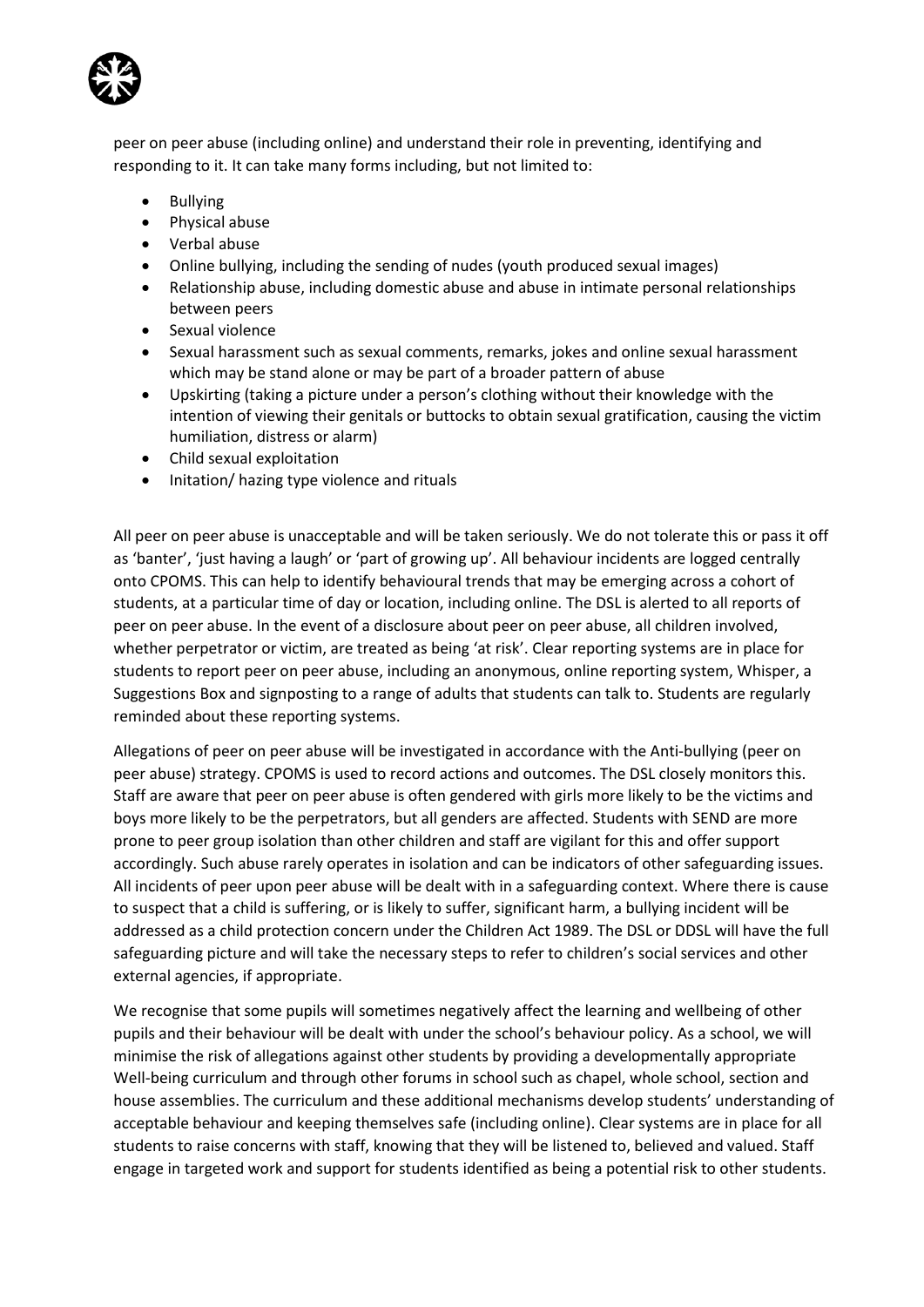

peer on peer abuse (including online) and understand their role in preventing, identifying and responding to it. It can take many forms including, but not limited to:

- Bullying
- Physical abuse
- Verbal abuse
- Online bullying, including the sending of nudes (youth produced sexual images)
- Relationship abuse, including domestic abuse and abuse in intimate personal relationships between peers
- Sexual violence
- Sexual harassment such as sexual comments, remarks, jokes and online sexual harassment which may be stand alone or may be part of a broader pattern of abuse
- Upskirting (taking a picture under a person's clothing without their knowledge with the intention of viewing their genitals or buttocks to obtain sexual gratification, causing the victim humiliation, distress or alarm)
- Child sexual exploitation
- Initation/ hazing type violence and rituals

All peer on peer abuse is unacceptable and will be taken seriously. We do not tolerate this or pass it off as 'banter', 'just having a laugh' or 'part of growing up'. All behaviour incidents are logged centrally onto CPOMS. This can help to identify behavioural trends that may be emerging across a cohort of students, at a particular time of day or location, including online. The DSL is alerted to all reports of peer on peer abuse. In the event of a disclosure about peer on peer abuse, all children involved, whether perpetrator or victim, are treated as being 'at risk'. Clear reporting systems are in place for students to report peer on peer abuse, including an anonymous, online reporting system, Whisper, a Suggestions Box and signposting to a range of adults that students can talk to. Students are regularly reminded about these reporting systems.

Allegations of peer on peer abuse will be investigated in accordance with the Anti-bullying (peer on peer abuse) strategy. CPOMS is used to record actions and outcomes. The DSL closely monitors this. Staff are aware that peer on peer abuse is often gendered with girls more likely to be the victims and boys more likely to be the perpetrators, but all genders are affected. Students with SEND are more prone to peer group isolation than other children and staff are vigilant for this and offer support accordingly. Such abuse rarely operates in isolation and can be indicators of other safeguarding issues. All incidents of peer upon peer abuse will be dealt with in a safeguarding context. Where there is cause to suspect that a child is suffering, or is likely to suffer, significant harm, a bullying incident will be addressed as a child protection concern under the Children Act 1989. The DSL or DDSL will have the full safeguarding picture and will take the necessary steps to refer to children's social services and other external agencies, if appropriate.

We recognise that some pupils will sometimes negatively affect the learning and wellbeing of other pupils and their behaviour will be dealt with under the school's behaviour policy. As a school, we will minimise the risk of allegations against other students by providing a developmentally appropriate Well-being curriculum and through other forums in school such as chapel, whole school, section and house assemblies. The curriculum and these additional mechanisms develop students' understanding of acceptable behaviour and keeping themselves safe (including online). Clear systems are in place for all students to raise concerns with staff, knowing that they will be listened to, believed and valued. Staff engage in targeted work and support for students identified as being a potential risk to other students.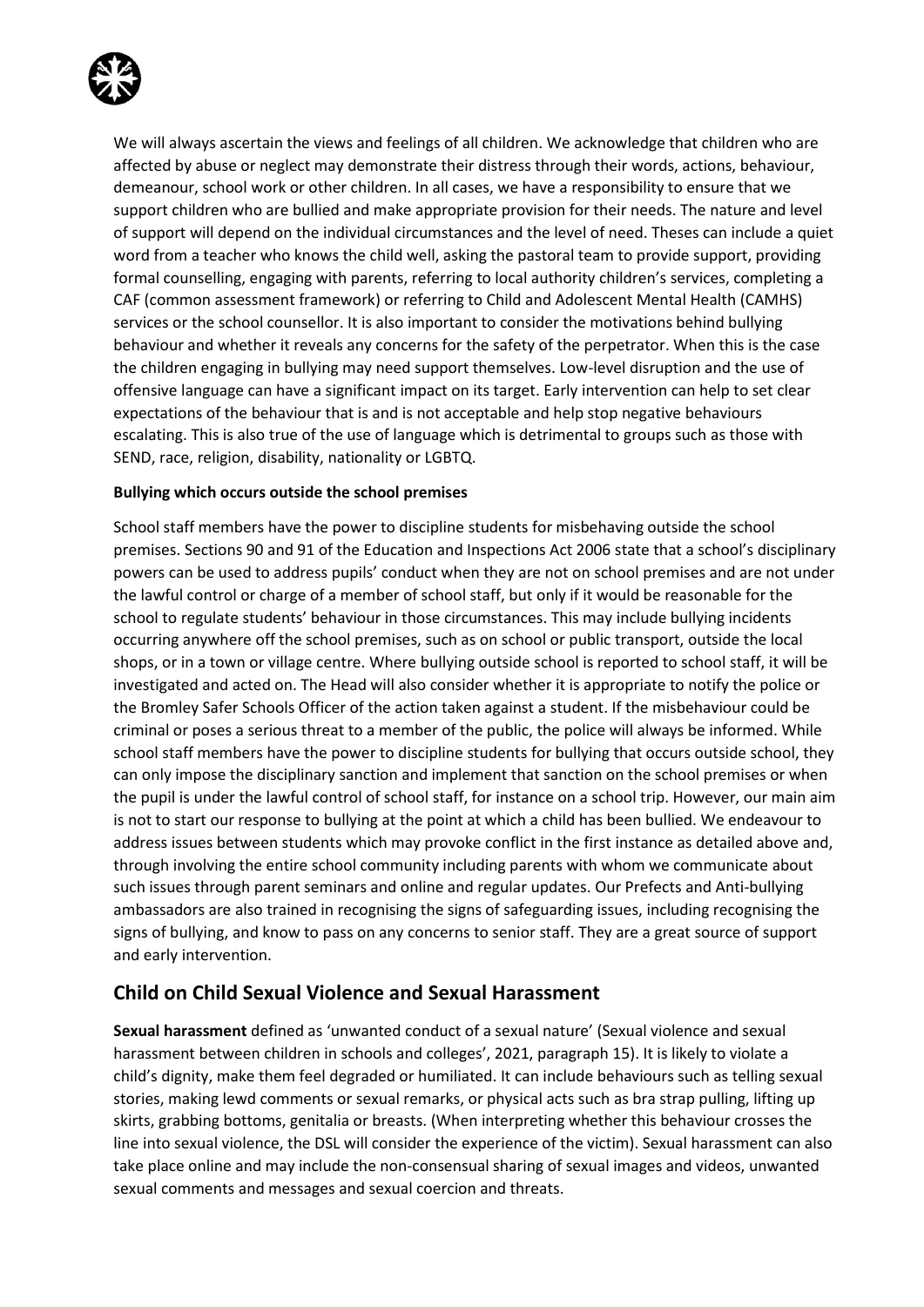

We will always ascertain the views and feelings of all children. We acknowledge that children who are affected by abuse or neglect may demonstrate their distress through their words, actions, behaviour, demeanour, school work or other children. In all cases, we have a responsibility to ensure that we support children who are bullied and make appropriate provision for their needs. The nature and level of support will depend on the individual circumstances and the level of need. Theses can include a quiet word from a teacher who knows the child well, asking the pastoral team to provide support, providing formal counselling, engaging with parents, referring to local authority children's services, completing a CAF (common assessment framework) or referring to Child and Adolescent Mental Health (CAMHS) services or the school counsellor. It is also important to consider the motivations behind bullying behaviour and whether it reveals any concerns for the safety of the perpetrator. When this is the case the children engaging in bullying may need support themselves. Low-level disruption and the use of offensive language can have a significant impact on its target. Early intervention can help to set clear expectations of the behaviour that is and is not acceptable and help stop negative behaviours escalating. This is also true of the use of language which is detrimental to groups such as those with SEND, race, religion, disability, nationality or LGBTQ.

#### **Bullying which occurs outside the school premises**

School staff members have the power to discipline students for misbehaving outside the school premises. Sections 90 and 91 of the Education and Inspections Act 2006 state that a school's disciplinary powers can be used to address pupils' conduct when they are not on school premises and are not under the lawful control or charge of a member of school staff, but only if it would be reasonable for the school to regulate students' behaviour in those circumstances. This may include bullying incidents occurring anywhere off the school premises, such as on school or public transport, outside the local shops, or in a town or village centre. Where bullying outside school is reported to school staff, it will be investigated and acted on. The Head will also consider whether it is appropriate to notify the police or the Bromley Safer Schools Officer of the action taken against a student. If the misbehaviour could be criminal or poses a serious threat to a member of the public, the police will always be informed. While school staff members have the power to discipline students for bullying that occurs outside school, they can only impose the disciplinary sanction and implement that sanction on the school premises or when the pupil is under the lawful control of school staff, for instance on a school trip. However, our main aim is not to start our response to bullying at the point at which a child has been bullied. We endeavour to address issues between students which may provoke conflict in the first instance as detailed above and, through involving the entire school community including parents with whom we communicate about such issues through parent seminars and online and regular updates. Our Prefects and Anti-bullying ambassadors are also trained in recognising the signs of safeguarding issues, including recognising the signs of bullying, and know to pass on any concerns to senior staff. They are a great source of support and early intervention.

## **Child on Child Sexual Violence and Sexual Harassment**

**Sexual harassment** defined as 'unwanted conduct of a sexual nature' (Sexual violence and sexual harassment between children in schools and colleges', 2021, paragraph 15). It is likely to violate a child's dignity, make them feel degraded or humiliated. It can include behaviours such as telling sexual stories, making lewd comments or sexual remarks, or physical acts such as bra strap pulling, lifting up skirts, grabbing bottoms, genitalia or breasts. (When interpreting whether this behaviour crosses the line into sexual violence, the DSL will consider the experience of the victim). Sexual harassment can also take place online and may include the non-consensual sharing of sexual images and videos, unwanted sexual comments and messages and sexual coercion and threats.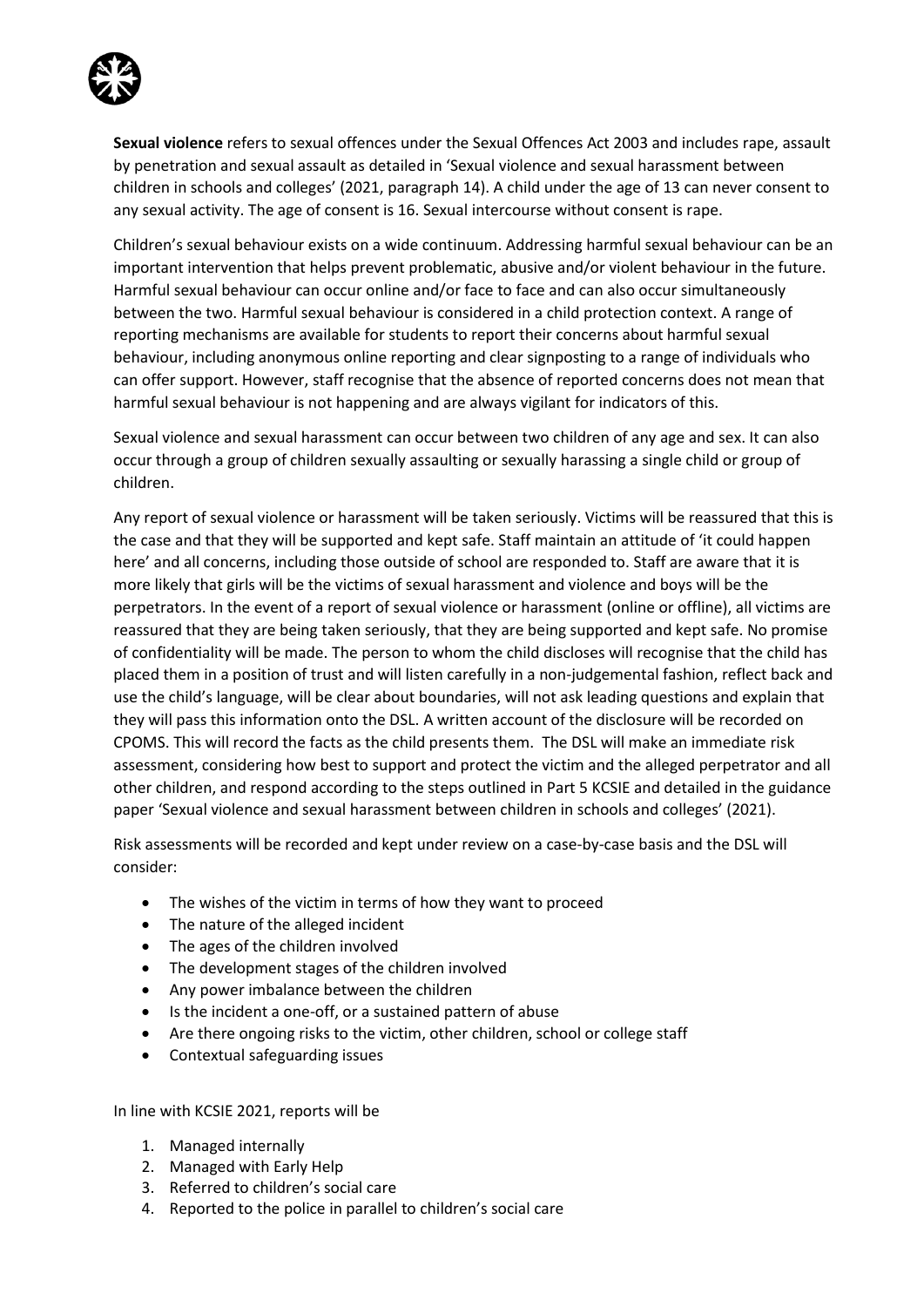

**Sexual violence** refers to sexual offences under the Sexual Offences Act 2003 and includes rape, assault by penetration and sexual assault as detailed in 'Sexual violence and sexual harassment between children in schools and colleges' (2021, paragraph 14). A child under the age of 13 can never consent to any sexual activity. The age of consent is 16. Sexual intercourse without consent is rape.

Children's sexual behaviour exists on a wide continuum. Addressing harmful sexual behaviour can be an important intervention that helps prevent problematic, abusive and/or violent behaviour in the future. Harmful sexual behaviour can occur online and/or face to face and can also occur simultaneously between the two. Harmful sexual behaviour is considered in a child protection context. A range of reporting mechanisms are available for students to report their concerns about harmful sexual behaviour, including anonymous online reporting and clear signposting to a range of individuals who can offer support. However, staff recognise that the absence of reported concerns does not mean that harmful sexual behaviour is not happening and are always vigilant for indicators of this.

Sexual violence and sexual harassment can occur between two children of any age and sex. It can also occur through a group of children sexually assaulting or sexually harassing a single child or group of children.

Any report of sexual violence or harassment will be taken seriously. Victims will be reassured that this is the case and that they will be supported and kept safe. Staff maintain an attitude of 'it could happen here' and all concerns, including those outside of school are responded to. Staff are aware that it is more likely that girls will be the victims of sexual harassment and violence and boys will be the perpetrators. In the event of a report of sexual violence or harassment (online or offline), all victims are reassured that they are being taken seriously, that they are being supported and kept safe. No promise of confidentiality will be made. The person to whom the child discloses will recognise that the child has placed them in a position of trust and will listen carefully in a non-judgemental fashion, reflect back and use the child's language, will be clear about boundaries, will not ask leading questions and explain that they will pass this information onto the DSL. A written account of the disclosure will be recorded on CPOMS. This will record the facts as the child presents them. The DSL will make an immediate risk assessment, considering how best to support and protect the victim and the alleged perpetrator and all other children, and respond according to the steps outlined in Part 5 KCSIE and detailed in the guidance paper 'Sexual violence and sexual harassment between children in schools and colleges' (2021).

Risk assessments will be recorded and kept under review on a case-by-case basis and the DSL will consider:

- The wishes of the victim in terms of how they want to proceed
- The nature of the alleged incident
- The ages of the children involved
- The development stages of the children involved
- Any power imbalance between the children
- Is the incident a one-off, or a sustained pattern of abuse
- Are there ongoing risks to the victim, other children, school or college staff
- Contextual safeguarding issues

In line with KCSIE 2021, reports will be

- 1. Managed internally
- 2. Managed with Early Help
- 3. Referred to children's social care
- 4. Reported to the police in parallel to children's social care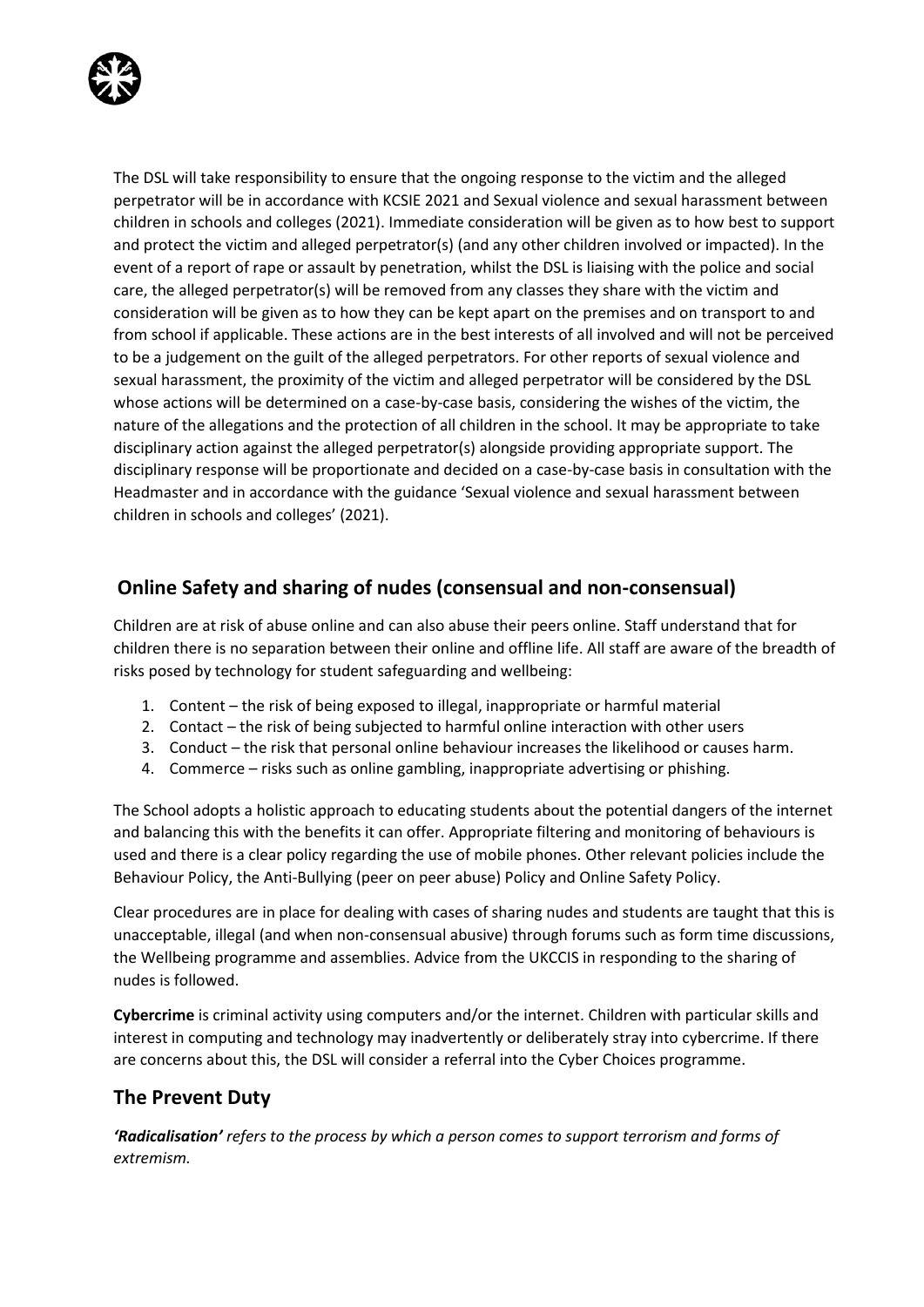

The DSL will take responsibility to ensure that the ongoing response to the victim and the alleged perpetrator will be in accordance with KCSIE 2021 and Sexual violence and sexual harassment between children in schools and colleges (2021). Immediate consideration will be given as to how best to support and protect the victim and alleged perpetrator(s) (and any other children involved or impacted). In the event of a report of rape or assault by penetration, whilst the DSL is liaising with the police and social care, the alleged perpetrator(s) will be removed from any classes they share with the victim and consideration will be given as to how they can be kept apart on the premises and on transport to and from school if applicable. These actions are in the best interests of all involved and will not be perceived to be a judgement on the guilt of the alleged perpetrators. For other reports of sexual violence and sexual harassment, the proximity of the victim and alleged perpetrator will be considered by the DSL whose actions will be determined on a case-by-case basis, considering the wishes of the victim, the nature of the allegations and the protection of all children in the school. It may be appropriate to take disciplinary action against the alleged perpetrator(s) alongside providing appropriate support. The disciplinary response will be proportionate and decided on a case-by-case basis in consultation with the Headmaster and in accordance with the guidance 'Sexual violence and sexual harassment between children in schools and colleges' (2021).

# **Online Safety and sharing of nudes (consensual and non-consensual)**

Children are at risk of abuse online and can also abuse their peers online. Staff understand that for children there is no separation between their online and offline life. All staff are aware of the breadth of risks posed by technology for student safeguarding and wellbeing:

- 1. Content the risk of being exposed to illegal, inappropriate or harmful material
- 2. Contact the risk of being subjected to harmful online interaction with other users
- 3. Conduct the risk that personal online behaviour increases the likelihood or causes harm.
- 4. Commerce risks such as online gambling, inappropriate advertising or phishing.

The School adopts a holistic approach to educating students about the potential dangers of the internet and balancing this with the benefits it can offer. Appropriate filtering and monitoring of behaviours is used and there is a clear policy regarding the use of mobile phones. Other relevant policies include the Behaviour Policy, the Anti-Bullying (peer on peer abuse) Policy and Online Safety Policy.

Clear procedures are in place for dealing with cases of sharing nudes and students are taught that this is unacceptable, illegal (and when non-consensual abusive) through forums such as form time discussions, the Wellbeing programme and assemblies. Advice from the UKCCIS in responding to the sharing of nudes is followed.

**Cybercrime** is criminal activity using computers and/or the internet. Children with particular skills and interest in computing and technology may inadvertently or deliberately stray into cybercrime. If there are concerns about this, the DSL will consider a referral into the Cyber Choices programme.

# **The Prevent Duty**

*'Radicalisation' refers to the process by which a person comes to support terrorism and forms of extremism.*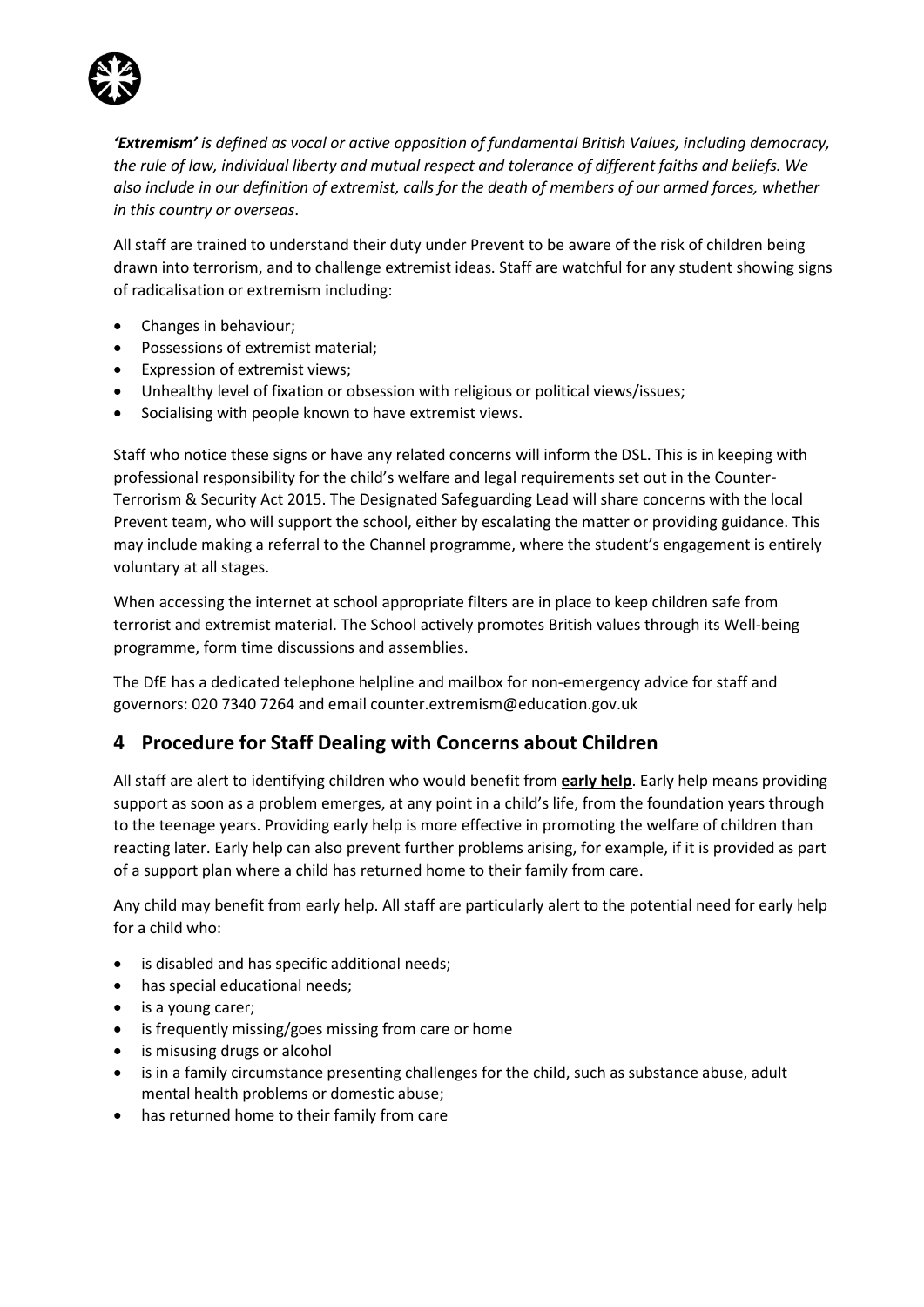

*'Extremism' is defined as vocal or active opposition of fundamental British Values, including democracy, the rule of law, individual liberty and mutual respect and tolerance of different faiths and beliefs. We also include in our definition of extremist, calls for the death of members of our armed forces, whether in this country or overseas*.

All staff are trained to understand their duty under Prevent to be aware of the risk of children being drawn into terrorism, and to challenge extremist ideas. Staff are watchful for any student showing signs of radicalisation or extremism including:

- Changes in behaviour;
- Possessions of extremist material;
- Expression of extremist views;
- Unhealthy level of fixation or obsession with religious or political views/issues;
- Socialising with people known to have extremist views.

Staff who notice these signs or have any related concerns will inform the DSL. This is in keeping with professional responsibility for the child's welfare and legal requirements set out in the Counter-Terrorism & Security Act 2015. The Designated Safeguarding Lead will share concerns with the local Prevent team, who will support the school, either by escalating the matter or providing guidance. This may include making a referral to the Channel programme, where the student's engagement is entirely voluntary at all stages.

When accessing the internet at school appropriate filters are in place to keep children safe from terrorist and extremist material. The School actively promotes British values through its Well-being programme, form time discussions and assemblies.

The DfE has a dedicated telephone helpline and mailbox for non-emergency advice for staff and governors: 020 7340 7264 and email counter.extremism@education.gov.uk

# **4 Procedure for Staff Dealing with Concerns about Children**

All staff are alert to identifying children who would benefit from **early help**. Early help means providing support as soon as a problem emerges, at any point in a child's life, from the foundation years through to the teenage years. Providing early help is more effective in promoting the welfare of children than reacting later. Early help can also prevent further problems arising, for example, if it is provided as part of a support plan where a child has returned home to their family from care.

Any child may benefit from early help. All staff are particularly alert to the potential need for early help for a child who:

- is disabled and has specific additional needs;
- has special educational needs;
- is a young carer;
- is frequently missing/goes missing from care or home
- is misusing drugs or alcohol
- is in a family circumstance presenting challenges for the child, such as substance abuse, adult mental health problems or domestic abuse;
- has returned home to their family from care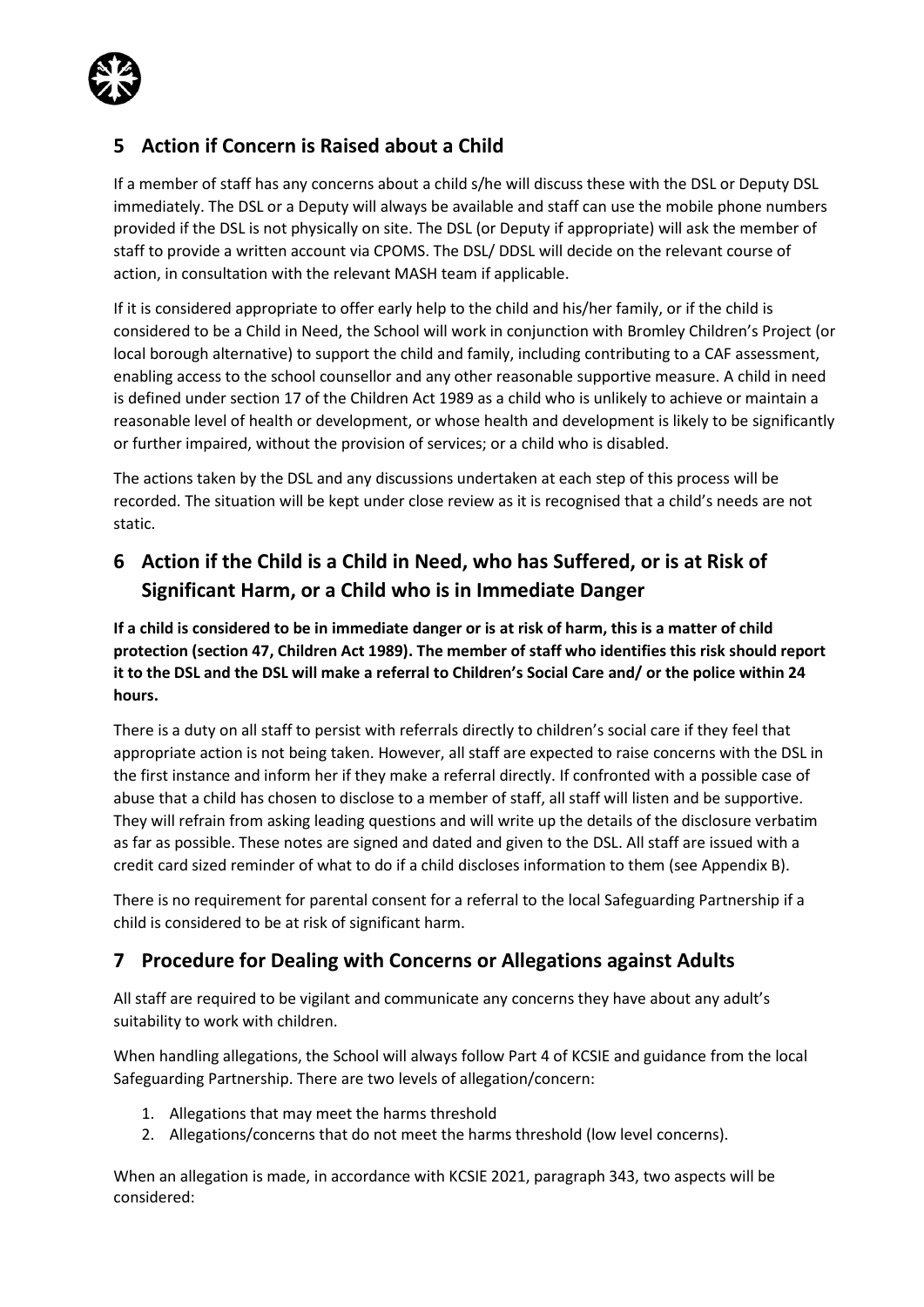

# **5 Action if Concern is Raised about a Child**

If a member of staff has any concerns about a child s/he will discuss these with the DSL or Deputy DSL immediately. The DSL or a Deputy will always be available and staff can use the mobile phone numbers provided if the DSL is not physically on site. The DSL (or Deputy if appropriate) will ask the member of staff to provide a written account via CPOMS. The DSL/ DDSL will decide on the relevant course of action, in consultation with the relevant MASH team if applicable.

If it is considered appropriate to offer early help to the child and his/her family, or if the child is considered to be a Child in Need, the School will work in conjunction with Bromley Children's Project (or local borough alternative) to support the child and family, including contributing to a CAF assessment, enabling access to the school counsellor and any other reasonable supportive measure. A child in need is defined under section 17 of the Children Act 1989 as a child who is unlikely to achieve or maintain a reasonable level of health or development, or whose health and development is likely to be significantly or further impaired, without the provision of services; or a child who is disabled.

The actions taken by the DSL and any discussions undertaken at each step of this process will be recorded. The situation will be kept under close review as it is recognised that a child's needs are not static.

# **6 Action if the Child is a Child in Need, who has Suffered, or is at Risk of Significant Harm, or a Child who is in Immediate Danger**

**If a child is considered to be in immediate danger or is at risk of harm, this is a matter of child protection (section 47, Children Act 1989). The member of staff who identifies this risk should report it to the DSL and the DSL will make a referral to Children's Social Care and/ or the police within 24 hours.**

There is a duty on all staff to persist with referrals directly to children's social care if they feel that appropriate action is not being taken. However, all staff are expected to raise concerns with the DSL in the first instance and inform her if they make a referral directly. If confronted with a possible case of abuse that a child has chosen to disclose to a member of staff, all staff will listen and be supportive. They will refrain from asking leading questions and will write up the details of the disclosure verbatim as far as possible. These notes are signed and dated and given to the DSL. All staff are issued with a credit card sized reminder of what to do if a child discloses information to them (see Appendix B).

There is no requirement for parental consent for a referral to the local Safeguarding Partnership if a child is considered to be at risk of significant harm.

# **7 Procedure for Dealing with Concerns or Allegations against Adults**

All staff are required to be vigilant and communicate any concerns they have about any adult's suitability to work with children.

When handling allegations, the School will always follow Part 4 of KCSIE and guidance from the local Safeguarding Partnership. There are two levels of allegation/concern:

- 1. Allegations that may meet the harms threshold
- 2. Allegations/concerns that do not meet the harms threshold (low level concerns).

When an allegation is made, in accordance with KCSIE 2021, paragraph 343, two aspects will be considered: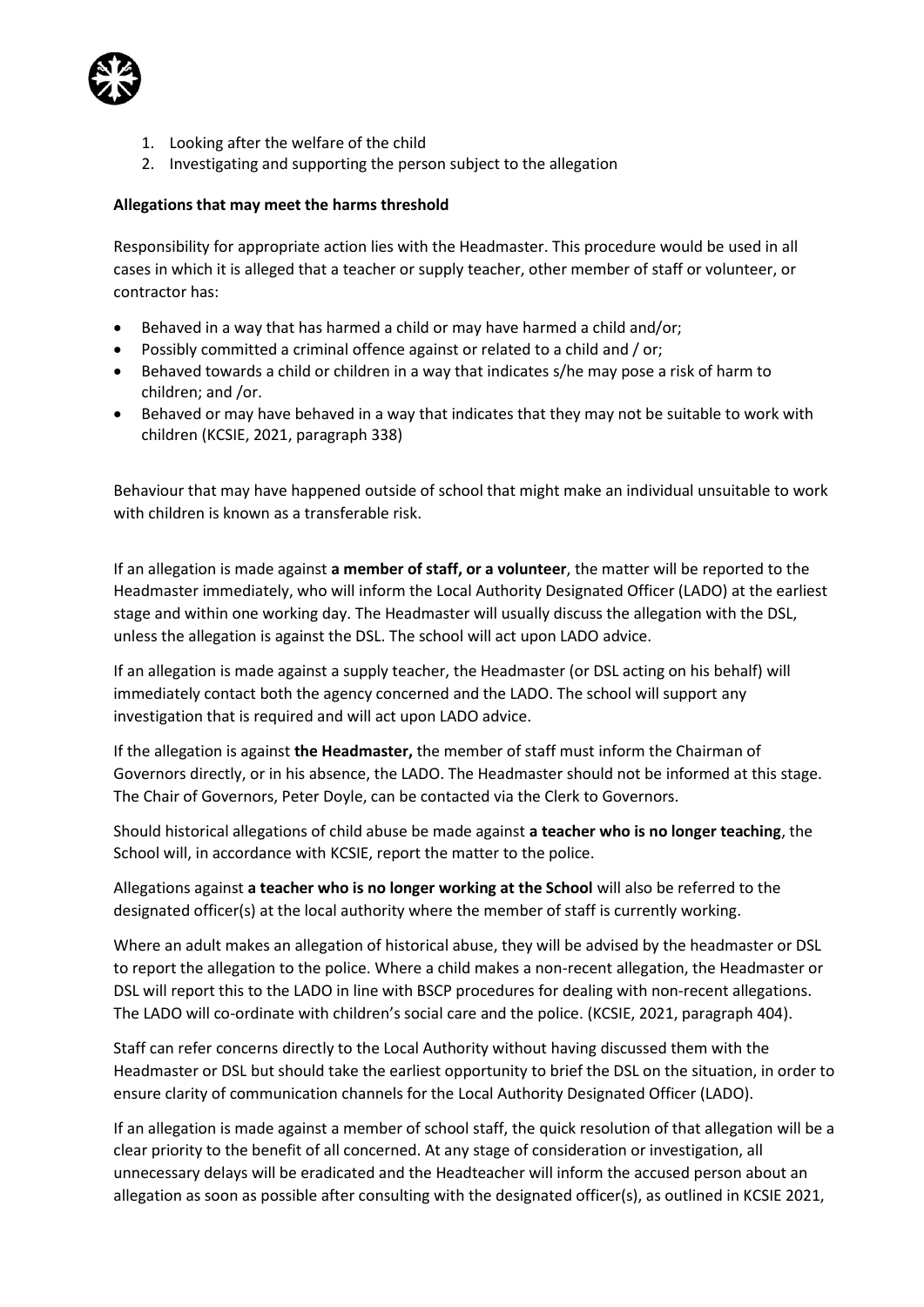

- 1. Looking after the welfare of the child
- 2. Investigating and supporting the person subject to the allegation

#### **Allegations that may meet the harms threshold**

Responsibility for appropriate action lies with the Headmaster. This procedure would be used in all cases in which it is alleged that a teacher or supply teacher, other member of staff or volunteer, or contractor has:

- Behaved in a way that has harmed a child or may have harmed a child and/or;
- Possibly committed a criminal offence against or related to a child and / or;
- Behaved towards a child or children in a way that indicates s/he may pose a risk of harm to children; and /or.
- Behaved or may have behaved in a way that indicates that they may not be suitable to work with children (KCSIE, 2021, paragraph 338)

Behaviour that may have happened outside of school that might make an individual unsuitable to work with children is known as a transferable risk.

If an allegation is made against **a member of staff, or a volunteer**, the matter will be reported to the Headmaster immediately, who will inform the Local Authority Designated Officer (LADO) at the earliest stage and within one working day. The Headmaster will usually discuss the allegation with the DSL, unless the allegation is against the DSL. The school will act upon LADO advice.

If an allegation is made against a supply teacher, the Headmaster (or DSL acting on his behalf) will immediately contact both the agency concerned and the LADO. The school will support any investigation that is required and will act upon LADO advice.

If the allegation is against **the Headmaster,** the member of staff must inform the Chairman of Governors directly, or in his absence, the LADO. The Headmaster should not be informed at this stage. The Chair of Governors, Peter Doyle, can be contacted via the Clerk to Governors.

Should historical allegations of child abuse be made against **a teacher who is no longer teaching**, the School will, in accordance with KCSIE, report the matter to the police.

Allegations against **a teacher who is no longer working at the School** will also be referred to the designated officer(s) at the local authority where the member of staff is currently working.

Where an adult makes an allegation of historical abuse, they will be advised by the headmaster or DSL to report the allegation to the police. Where a child makes a non-recent allegation, the Headmaster or DSL will report this to the LADO in line with BSCP procedures for dealing with non-recent allegations. The LADO will co-ordinate with children's social care and the police. (KCSIE, 2021, paragraph 404).

Staff can refer concerns directly to the Local Authority without having discussed them with the Headmaster or DSL but should take the earliest opportunity to brief the DSL on the situation, in order to ensure clarity of communication channels for the Local Authority Designated Officer (LADO).

If an allegation is made against a member of school staff, the quick resolution of that allegation will be a clear priority to the benefit of all concerned. At any stage of consideration or investigation, all unnecessary delays will be eradicated and the Headteacher will inform the accused person about an allegation as soon as possible after consulting with the designated officer(s), as outlined in KCSIE 2021,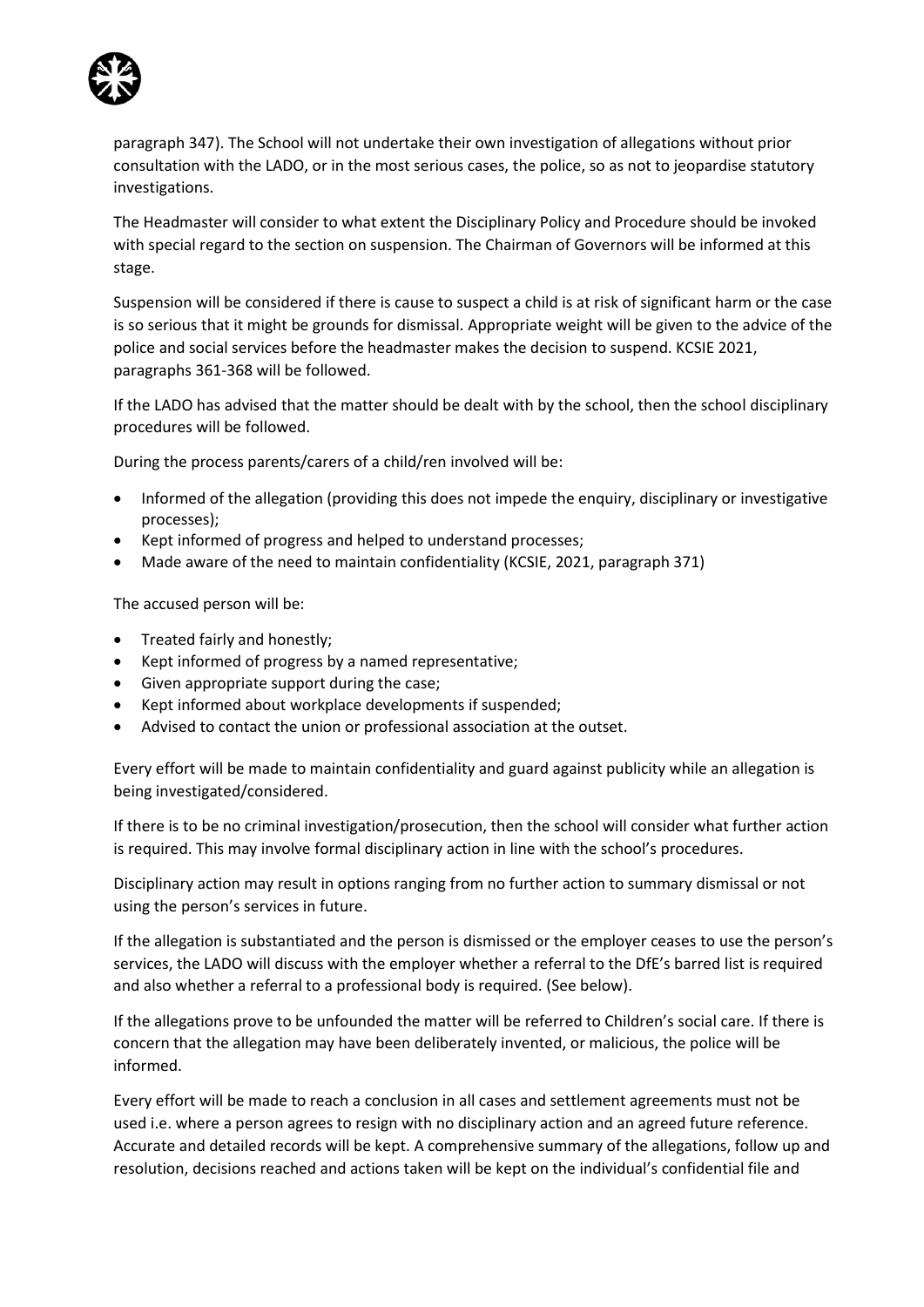

paragraph 347). The School will not undertake their own investigation of allegations without prior consultation with the LADO, or in the most serious cases, the police, so as not to jeopardise statutory investigations.

The Headmaster will consider to what extent the Disciplinary Policy and Procedure should be invoked with special regard to the section on suspension. The Chairman of Governors will be informed at this stage.

Suspension will be considered if there is cause to suspect a child is at risk of significant harm or the case is so serious that it might be grounds for dismissal. Appropriate weight will be given to the advice of the police and social services before the headmaster makes the decision to suspend. KCSIE 2021, paragraphs 361-368 will be followed.

If the LADO has advised that the matter should be dealt with by the school, then the school disciplinary procedures will be followed.

During the process parents/carers of a child/ren involved will be:

- Informed of the allegation (providing this does not impede the enquiry, disciplinary or investigative processes);
- Kept informed of progress and helped to understand processes;
- Made aware of the need to maintain confidentiality (KCSIE, 2021, paragraph 371)

The accused person will be:

- Treated fairly and honestly;
- Kept informed of progress by a named representative;
- Given appropriate support during the case;
- Kept informed about workplace developments if suspended;
- Advised to contact the union or professional association at the outset.

Every effort will be made to maintain confidentiality and guard against publicity while an allegation is being investigated/considered.

If there is to be no criminal investigation/prosecution, then the school will consider what further action is required. This may involve formal disciplinary action in line with the school's procedures.

Disciplinary action may result in options ranging from no further action to summary dismissal or not using the person's services in future.

If the allegation is substantiated and the person is dismissed or the employer ceases to use the person's services, the LADO will discuss with the employer whether a referral to the DfE's barred list is required and also whether a referral to a professional body is required. (See below).

If the allegations prove to be unfounded the matter will be referred to Children's social care. If there is concern that the allegation may have been deliberately invented, or malicious, the police will be informed.

Every effort will be made to reach a conclusion in all cases and settlement agreements must not be used i.e. where a person agrees to resign with no disciplinary action and an agreed future reference. Accurate and detailed records will be kept. A comprehensive summary of the allegations, follow up and resolution, decisions reached and actions taken will be kept on the individual's confidential file and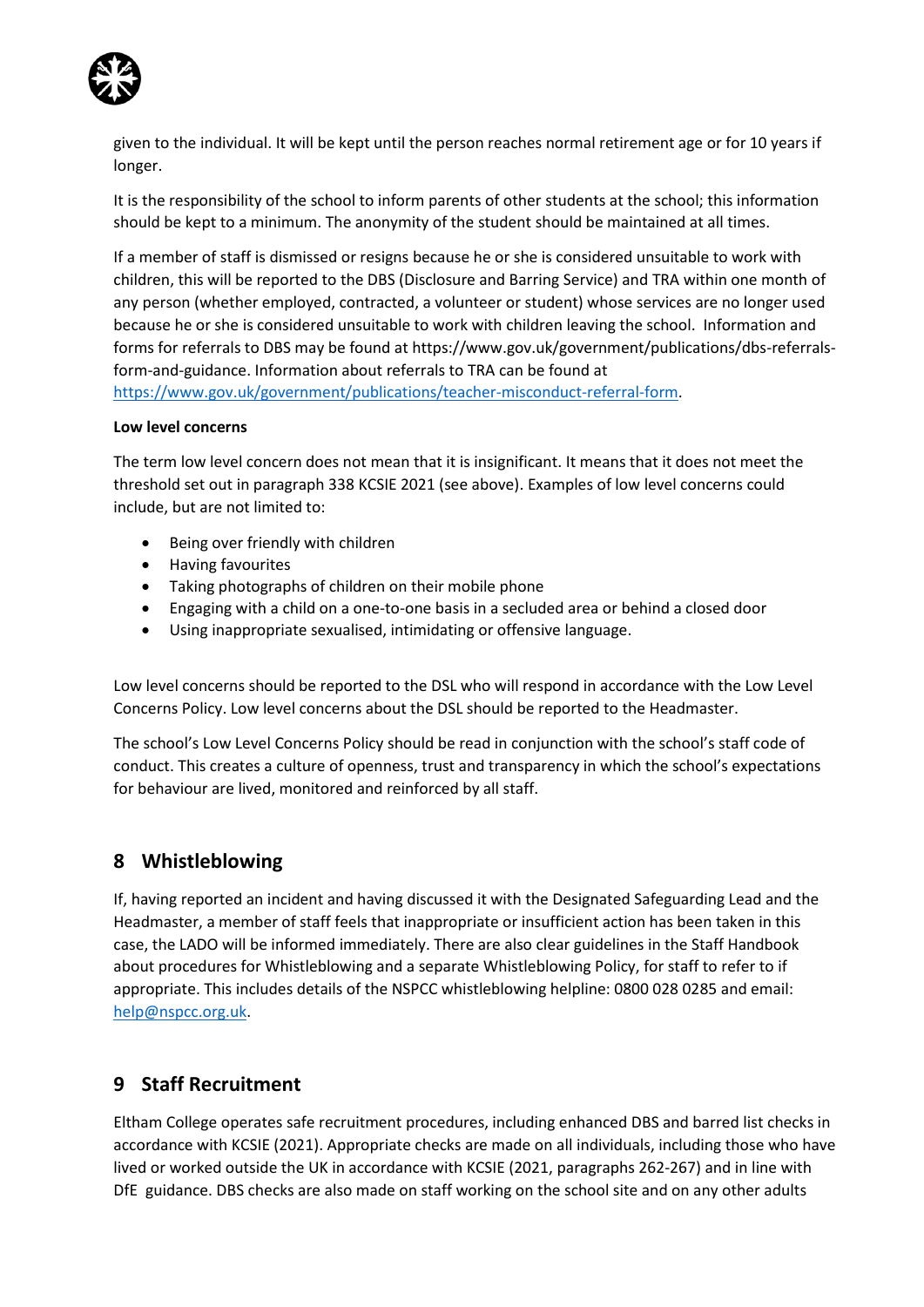

given to the individual. It will be kept until the person reaches normal retirement age or for 10 years if longer.

It is the responsibility of the school to inform parents of other students at the school; this information should be kept to a minimum. The anonymity of the student should be maintained at all times.

If a member of staff is dismissed or resigns because he or she is considered unsuitable to work with children, this will be reported to the DBS (Disclosure and Barring Service) and TRA within one month of any person (whether employed, contracted, a volunteer or student) whose services are no longer used because he or she is considered unsuitable to work with children leaving the school. Information and forms for referrals to DBS may be found at https://www.gov.uk/government/publications/dbs-referralsform-and-guidance. Information about referrals to TRA can be found at [https://www.gov.uk/government/publications/teacher-misconduct-referral-form.](https://www.gov.uk/government/publications/teacher-misconduct-referral-form)

#### **Low level concerns**

The term low level concern does not mean that it is insignificant. It means that it does not meet the threshold set out in paragraph 338 KCSIE 2021 (see above). Examples of low level concerns could include, but are not limited to:

- Being over friendly with children
- Having favourites
- Taking photographs of children on their mobile phone
- Engaging with a child on a one-to-one basis in a secluded area or behind a closed door
- Using inappropriate sexualised, intimidating or offensive language.

Low level concerns should be reported to the DSL who will respond in accordance with the Low Level Concerns Policy. Low level concerns about the DSL should be reported to the Headmaster.

The school's Low Level Concerns Policy should be read in conjunction with the school's staff code of conduct. This creates a culture of openness, trust and transparency in which the school's expectations for behaviour are lived, monitored and reinforced by all staff.

## **8 Whistleblowing**

If, having reported an incident and having discussed it with the Designated Safeguarding Lead and the Headmaster, a member of staff feels that inappropriate or insufficient action has been taken in this case, the LADO will be informed immediately. There are also clear guidelines in the Staff Handbook about procedures for Whistleblowing and a separate Whistleblowing Policy, for staff to refer to if appropriate. This includes details of the NSPCC whistleblowing helpline: 0800 028 0285 and email: [help@nspcc.org.uk.](mailto:help@nspcc.org.uk)

# **9 Staff Recruitment**

Eltham College operates safe recruitment procedures, including enhanced DBS and barred list checks in accordance with KCSIE (2021). Appropriate checks are made on all individuals, including those who have lived or worked outside the UK in accordance with KCSIE (2021, paragraphs 262-267) and in line with DfE guidance. DBS checks are also made on staff working on the school site and on any other adults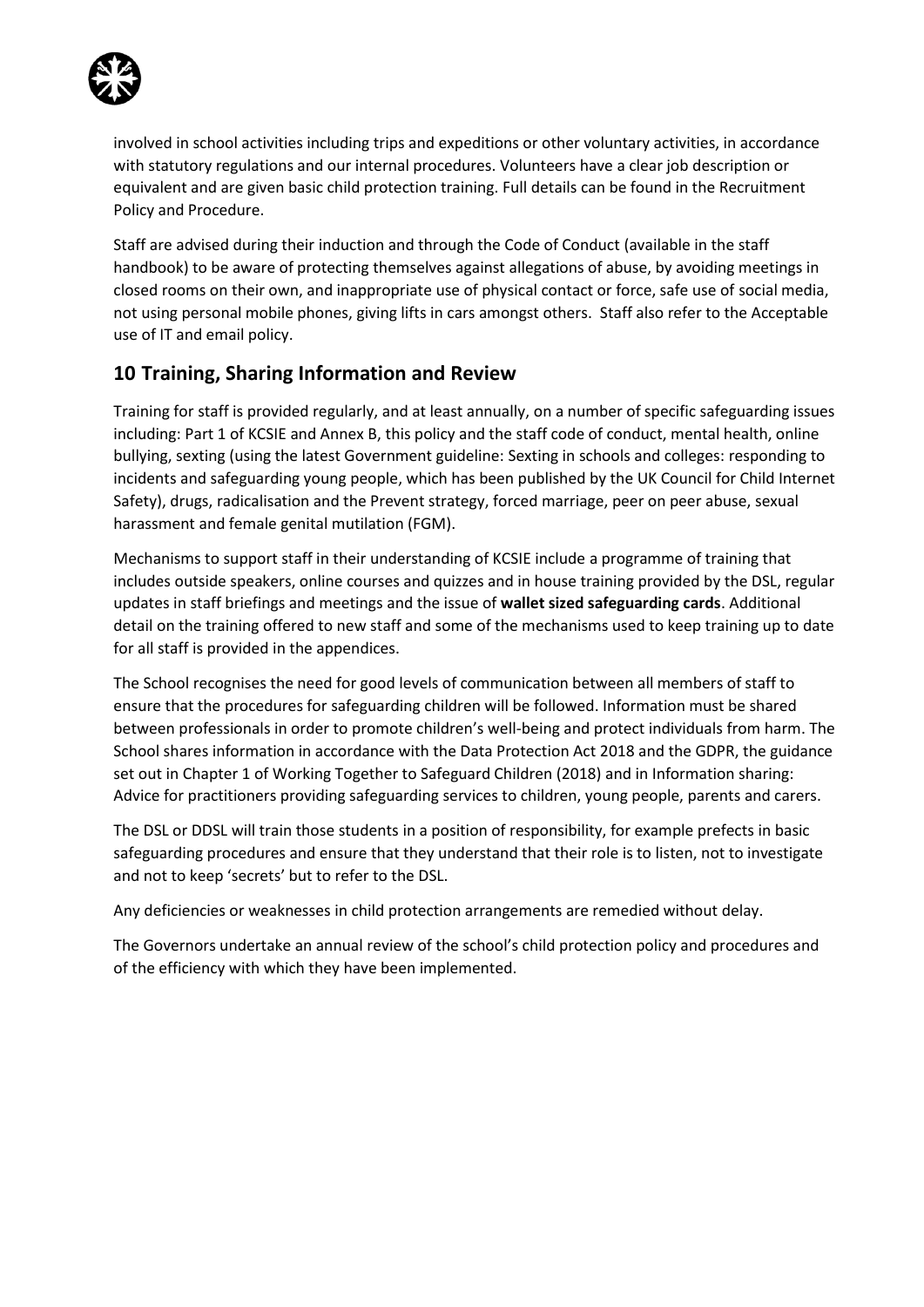

involved in school activities including trips and expeditions or other voluntary activities, in accordance with statutory regulations and our internal procedures. Volunteers have a clear job description or equivalent and are given basic child protection training. Full details can be found in the Recruitment Policy and Procedure.

Staff are advised during their induction and through the Code of Conduct (available in the staff handbook) to be aware of protecting themselves against allegations of abuse, by avoiding meetings in closed rooms on their own, and inappropriate use of physical contact or force, safe use of social media, not using personal mobile phones, giving lifts in cars amongst others. Staff also refer to the Acceptable use of IT and email policy.

# **10 Training, Sharing Information and Review**

Training for staff is provided regularly, and at least annually, on a number of specific safeguarding issues including: Part 1 of KCSIE and Annex B, this policy and the staff code of conduct, mental health, online bullying, sexting (using the latest Government guideline: Sexting in schools and colleges: responding to incidents and safeguarding young people, which has been published by the UK Council for Child Internet Safety), drugs, radicalisation and the Prevent strategy, forced marriage, peer on peer abuse, sexual harassment and female genital mutilation (FGM).

Mechanisms to support staff in their understanding of KCSIE include a programme of training that includes outside speakers, online courses and quizzes and in house training provided by the DSL, regular updates in staff briefings and meetings and the issue of **wallet sized safeguarding cards**. Additional detail on the training offered to new staff and some of the mechanisms used to keep training up to date for all staff is provided in the appendices.

The School recognises the need for good levels of communication between all members of staff to ensure that the procedures for safeguarding children will be followed. Information must be shared between professionals in order to promote children's well-being and protect individuals from harm. The School shares information in accordance with the Data Protection Act 2018 and the GDPR, the guidance set out in Chapter 1 of Working Together to Safeguard Children (2018) and in Information sharing: Advice for practitioners providing safeguarding services to children, young people, parents and carers.

The DSL or DDSL will train those students in a position of responsibility, for example prefects in basic safeguarding procedures and ensure that they understand that their role is to listen, not to investigate and not to keep 'secrets' but to refer to the DSL.

Any deficiencies or weaknesses in child protection arrangements are remedied without delay.

The Governors undertake an annual review of the school's child protection policy and procedures and of the efficiency with which they have been implemented.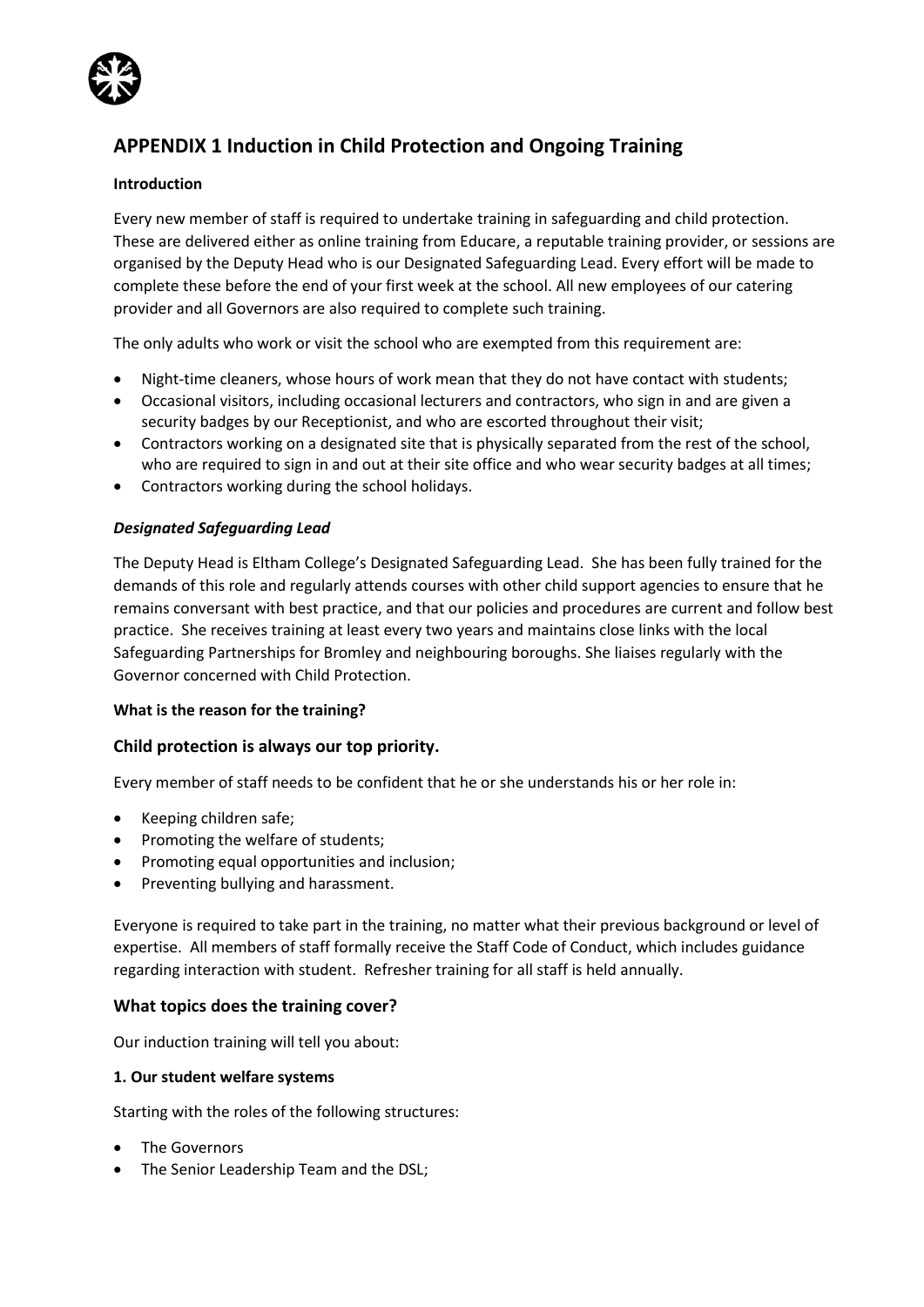

# **APPENDIX 1 Induction in Child Protection and Ongoing Training**

#### **Introduction**

Every new member of staff is required to undertake training in safeguarding and child protection. These are delivered either as online training from Educare, a reputable training provider, or sessions are organised by the Deputy Head who is our Designated Safeguarding Lead. Every effort will be made to complete these before the end of your first week at the school. All new employees of our catering provider and all Governors are also required to complete such training.

The only adults who work or visit the school who are exempted from this requirement are:

- Night-time cleaners, whose hours of work mean that they do not have contact with students;
- Occasional visitors, including occasional lecturers and contractors, who sign in and are given a security badges by our Receptionist, and who are escorted throughout their visit;
- Contractors working on a designated site that is physically separated from the rest of the school, who are required to sign in and out at their site office and who wear security badges at all times;
- Contractors working during the school holidays.

#### *Designated Safeguarding Lead*

The Deputy Head is Eltham College's Designated Safeguarding Lead. She has been fully trained for the demands of this role and regularly attends courses with other child support agencies to ensure that he remains conversant with best practice, and that our policies and procedures are current and follow best practice. She receives training at least every two years and maintains close links with the local Safeguarding Partnerships for Bromley and neighbouring boroughs. She liaises regularly with the Governor concerned with Child Protection.

#### **What is the reason for the training?**

#### **Child protection is always our top priority.**

Every member of staff needs to be confident that he or she understands his or her role in:

- Keeping children safe;
- Promoting the welfare of students;
- Promoting equal opportunities and inclusion;
- Preventing bullying and harassment.

Everyone is required to take part in the training, no matter what their previous background or level of expertise. All members of staff formally receive the Staff Code of Conduct, which includes guidance regarding interaction with student. Refresher training for all staff is held annually.

#### **What topics does the training cover?**

Our induction training will tell you about:

#### **1. Our student welfare systems**

Starting with the roles of the following structures:

- The Governors
- The Senior Leadership Team and the DSL;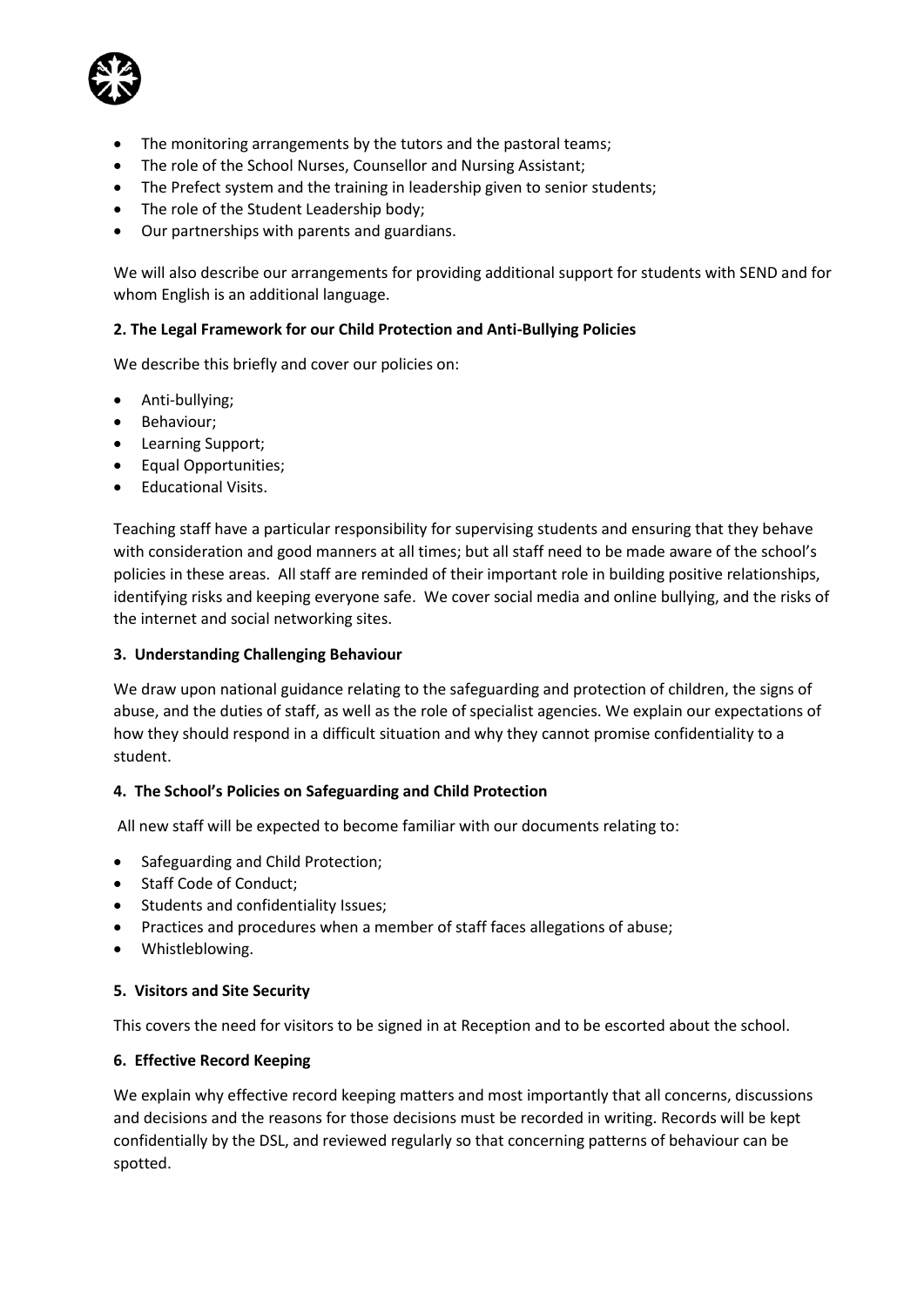

- The monitoring arrangements by the tutors and the pastoral teams;
- The role of the School Nurses, Counsellor and Nursing Assistant;
- The Prefect system and the training in leadership given to senior students;
- The role of the Student Leadership body;
- Our partnerships with parents and guardians.

We will also describe our arrangements for providing additional support for students with SEND and for whom English is an additional language.

#### **2. The Legal Framework for our Child Protection and Anti-Bullying Policies**

We describe this briefly and cover our policies on:

- Anti-bullying;
- Behaviour;
- Learning Support;
- Equal Opportunities;
- Educational Visits.

Teaching staff have a particular responsibility for supervising students and ensuring that they behave with consideration and good manners at all times; but all staff need to be made aware of the school's policies in these areas. All staff are reminded of their important role in building positive relationships, identifying risks and keeping everyone safe. We cover social media and online bullying, and the risks of the internet and social networking sites.

#### **3. Understanding Challenging Behaviour**

We draw upon national guidance relating to the safeguarding and protection of children, the signs of abuse, and the duties of staff, as well as the role of specialist agencies. We explain our expectations of how they should respond in a difficult situation and why they cannot promise confidentiality to a student.

#### **4. The School's Policies on Safeguarding and Child Protection**

All new staff will be expected to become familiar with our documents relating to:

- Safeguarding and Child Protection;
- Staff Code of Conduct;
- Students and confidentiality Issues;
- Practices and procedures when a member of staff faces allegations of abuse;
- Whistleblowing.

#### **5. Visitors and Site Security**

This covers the need for visitors to be signed in at Reception and to be escorted about the school.

#### **6. Effective Record Keeping**

We explain why effective record keeping matters and most importantly that all concerns, discussions and decisions and the reasons for those decisions must be recorded in writing. Records will be kept confidentially by the DSL, and reviewed regularly so that concerning patterns of behaviour can be spotted.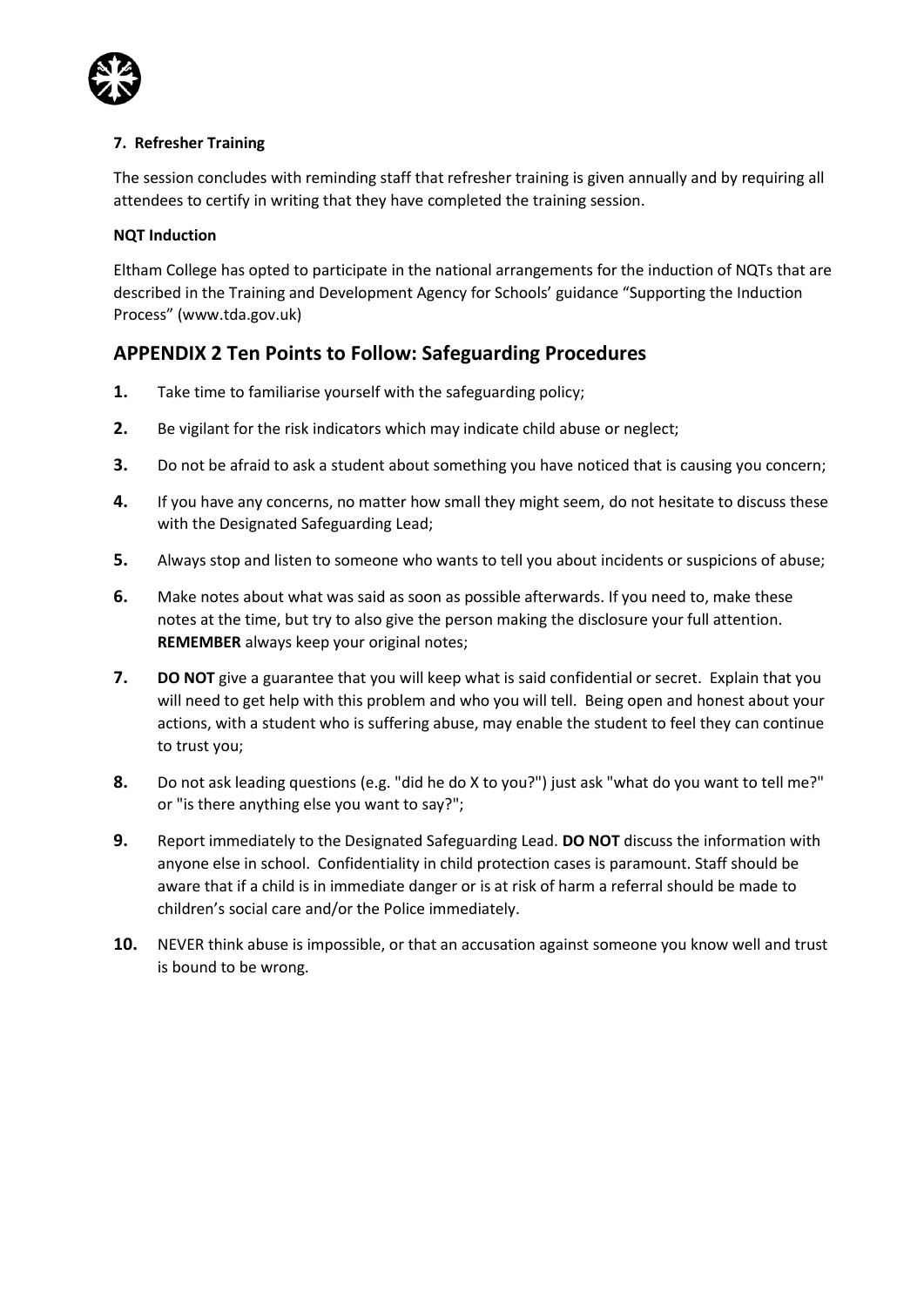

#### **7. Refresher Training**

The session concludes with reminding staff that refresher training is given annually and by requiring all attendees to certify in writing that they have completed the training session.

#### **NQT Induction**

Eltham College has opted to participate in the national arrangements for the induction of NQTs that are described in the Training and Development Agency for Schools' guidance "Supporting the Induction Process" (www.tda.gov.uk)

## **APPENDIX 2 Ten Points to Follow: Safeguarding Procedures**

- **1.** Take time to familiarise yourself with the safeguarding policy;
- **2.** Be vigilant for the risk indicators which may indicate child abuse or neglect;
- **3.** Do not be afraid to ask a student about something you have noticed that is causing you concern;
- **4.** If you have any concerns, no matter how small they might seem, do not hesitate to discuss these with the Designated Safeguarding Lead;
- **5.** Always stop and listen to someone who wants to tell you about incidents or suspicions of abuse;
- **6.** Make notes about what was said as soon as possible afterwards. If you need to, make these notes at the time, but try to also give the person making the disclosure your full attention. **REMEMBER** always keep your original notes;
- **7. DO NOT** give a guarantee that you will keep what is said confidential or secret. Explain that you will need to get help with this problem and who you will tell. Being open and honest about your actions, with a student who is suffering abuse, may enable the student to feel they can continue to trust you;
- **8.** Do not ask leading questions (e.g. "did he do X to you?") just ask "what do you want to tell me?" or "is there anything else you want to say?";
- **9.** Report immediately to the Designated Safeguarding Lead. **DO NOT** discuss the information with anyone else in school. Confidentiality in child protection cases is paramount. Staff should be aware that if a child is in immediate danger or is at risk of harm a referral should be made to children's social care and/or the Police immediately.
- **10.** NEVER think abuse is impossible, or that an accusation against someone you know well and trust is bound to be wrong.